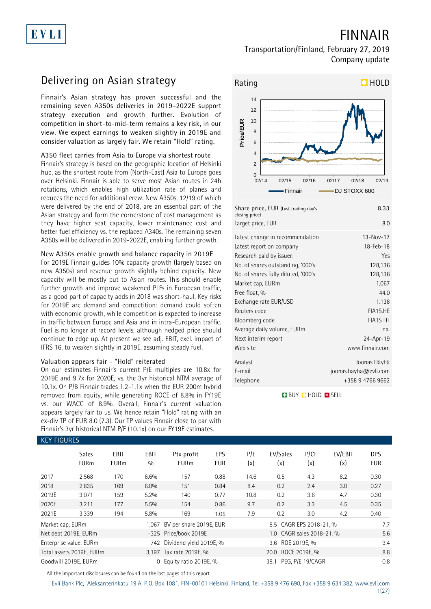# EVLI

**FINNAIR**

#### **Transportation/Finland, February 27, 2019 Company update**

## **Delivering on Asian strategy**

**Finnair's Asian strategy has proven successful and the remaining seven A350s deliveries in 2019-2022E support strategy execution and growth further. Evolution of competition in short-to-mid-term remains a key risk, in our view. We expect earnings to weaken slightly in 2019E and consider valuation as largely fair. We retain "Hold" rating.**

#### **A350 fleet carries from Asia to Europe via shortest route**

Finnair's strategy is based on the geographic location of Helsinki hub, as the shortest route from (North-East) Asia to Europe goes over Helsinki. Finnair is able to serve most Asian routes in 24h rotations, which enables high utilization rate of planes and reduces the need for additional crew. New A350s, 12/19 of which were delivered by the end of 2018, are an essential part of the Asian strategy and form the cornerstone of cost management as they have higher seat capacity, lower maintenance cost and better fuel efficiency vs. the replaced A340s. The remaining seven A350s will be delivered in 2019-2022E, enabling further growth.

#### **New A350s enable growth and balance capacity in 2019E**

For 2019E Finnair guides 10% capacity growth (largely based on new A350s) and revenue growth slightly behind capacity. New capacity will be mostly put to Asian routes. This should enable further growth and improve weakened PLFs in European traffic, as a good part of capacity adds in 2018 was short-haul. Key risks for 2019E are demand and competition: demand could soften with economic growth, while competition is expected to increase in traffic between Europe and Asia and in intra-European traffic. Fuel is no longer at record levels, although hedged price should continue to edge up. At present we see adj. EBIT, excl. impact of IFRS 16, to weaken slightly in 2019E, assuming steady fuel.

#### **Valuation appears fair - "Hold" reiterated**

**KEY FIGURES**

On our estimates Finnair's current P/E multiples are 10.8x for 2019E and 9.7x for 2020E, vs. the 3yr historical NTM average of 10.1x. On P/B Finnair trades 1.2-1.1x when the EUR 200m hybrid removed from equity, while generating ROCE of 8.8% in FY19E vs. our WACC of 8.9%. Overall, Finnair's current valuation appears largely fair to us. We hence retain "Hold" rating with an ex-div TP of EUR 8.0 (7.3). Our TP values Finnair close to par with Finnair's 3yr historical NTM P/E (10.1x) on our FY19E estimates.



| Share price, EUR (Last trading day's<br>closing price) | 8.33                  |
|--------------------------------------------------------|-----------------------|
| Target price, EUR                                      | 8.0                   |
| Latest change in recommendation                        | $13 - Nov - 17$       |
| Latest report on company                               | 18-Feb-18             |
| Research paid by issuer:                               | Yes                   |
| No. of shares outstanding, '000's                      | 128,136               |
| No. of shares fully diluted, '000's                    | 128,136               |
| Market cap, EURm                                       | 1,067                 |
| Free float, %                                          | 44.0                  |
| Exchange rate EUR/USD                                  | 1.138                 |
| Reuters code                                           | FIA1S.HE              |
| Bloomberg code                                         | <b>FIA1S FH</b>       |
| Average daily volume, EURm                             | na.                   |
| Next interim report                                    | 24-Apr-19             |
| Web site                                               | www.finnair.com       |
| Analyst                                                | Joonas Häyhä          |
| E-mail                                                 | joonas.hayha@evli.com |
| Telephone                                              | +358 9 4766 9662      |

**BUY O HOLD O SELL** 

#### **Sales EBIT EBIT Ptx profit EPS P/E EV/Sales P/CF EV/EBIT DPS EURm EURm % EURm EUR (x) (x) (x) (x) EUR** 2017 2,568 170 6.6% 157 0.88 14.6 0.5 4.3 8.2 0.30 2018 2,835 169 6.0% 151 0.84 8.4 0.2 2.4 3.0 0.27 2019E 3,071 159 5.2% 140 0.77 10.8 0.2 3.6 4.7 0.30 2020E 3,211 177 5.5% 154 0.86 9.7 0.2 3.3 4.5 0.35 2021E 3,339 194 5.8% 169 1.05 7.9 0.2 3.0 4.2 0.40 Market cap, EURm 1,067 BV per share 2019E, EUR 8.5 CAGR EPS 2018-21, % 7.7 Net debt 2019E, EURm -325 Price/book 2019E 1.0 CAGR sales 2018-21, % 5.6 Enterprise value, EURm 742 Dividend yield 2019E, % 3.6 ROE 2019E, % 3.6 ROE 2019E, % 9.4 Total assets 2019E, EURm 3,197 Tax rate 2019E, % 20.0 ROCE 2019E, % 8.8 Goodwill 2019E, EURm 0.8 0 Equity ratio 2019E, % 38.1 PEG, P/E 19/CAGR 0.8

All the important disclosures can be found on the last pages of this report.

Evli Bank Plc, Aleksanterinkatu 19 A, P.O. Box 1081, FIN-00101 Helsinki, Finland, Tel +358 9 476 690, Fax +358 9 634 382, [www.evli.com](http://www.evli.com/)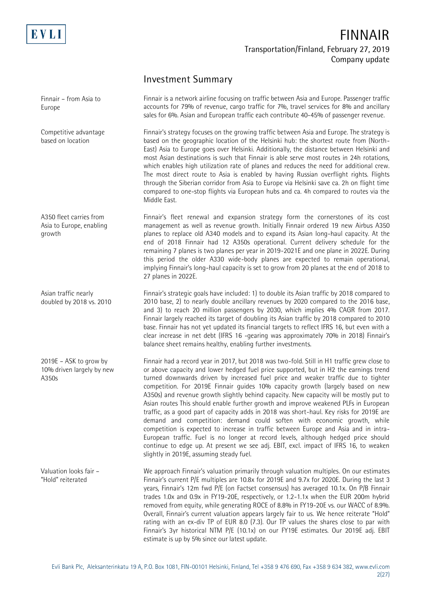

Europe

## **FINNAIR Transportation/Finland, February 27, 2019 Company update**

#### **Investment Summary**

Finnair is a network airline focusing on traffic between Asia and Europe. Passenger traffic accounts for 79% of revenue, cargo traffic for 7%, travel services for 8% and ancillary sales for 6%. Asian and European traffic each contribute 40-45% of passenger revenue. Finnair – from Asia to

> Finnair's strategy focuses on the growing traffic between Asia and Europe. The strategy is based on the geographic location of the Helsinki hub: the shortest route from (North-East) Asia to Europe goes over Helsinki. Additionally, the distance between Helsinki and most Asian destinations is such that Finnair is able serve most routes in 24h rotations, which enables high utilization rate of planes and reduces the need for additional crew. The most direct route to Asia is enabled by having Russian overflight rights. Flights through the Siberian corridor from Asia to Europe via Helsinki save ca. 2h on flight time compared to one-stop flights via European hubs and ca. 4h compared to routes via the Middle East.

> Finnair's fleet renewal and expansion strategy form the cornerstones of its cost management as well as revenue growth. Initially Finnair ordered 19 new Airbus A350 planes to replace old A340 models and to expand its Asian long-haul capacity. At the end of 2018 Finnair had 12 A350s operational. Current delivery schedule for the remaining 7 planes is two planes per year in 2019-2021E and one plane in 2022E. During this period the older A330 wide-body planes are expected to remain operational, implying Finnair's long-haul capacity is set to grow from 20 planes at the end of 2018 to 27 planes in 2022E.

Finnair's strategic goals have included: 1) to double its Asian traffic by 2018 compared to 2010 base, 2) to nearly double ancillary revenues by 2020 compared to the 2016 base, and 3) to reach 20 million passengers by 2030, which implies 4% CAGR from 2017. Finnair largely reached its target of doubling its Asian traffic by 2018 compared to 2010 base. Finnair has not yet updated its financial targets to reflect IFRS 16, but even with a clear increase in net debt (IFRS 16 -gearing was approximately 70% in 2018) Finnair's balance sheet remains healthy, enabling further investments.

Finnair had a record year in 2017, but 2018 was two-fold. Still in H1 traffic grew close to or above capacity and lower hedged fuel price supported, but in H2 the earnings trend turned downwards driven by increased fuel price and weaker traffic due to tighter competition. For 2019E Finnair guides 10% capacity growth (largely based on new A350s) and revenue growth slightly behind capacity. New capacity will be mostly put to Asian routes This should enable further growth and improve weakened PLFs in European traffic, as a good part of capacity adds in 2018 was short-haul. Key risks for 2019E are demand and competition: demand could soften with economic growth, while competition is expected to increase in traffic between Europe and Asia and in intra-European traffic. Fuel is no longer at record levels, although hedged price should continue to edge up. At present we see adj. EBIT, excl. impact of IFRS 16, to weaken slightly in 2019E, assuming steady fuel.

We approach Finnair's valuation primarily through valuation multiples. On our estimates Finnair's current P/E multiples are 10.8x for 2019E and 9.7x for 2020E. During the last 3 years, Finnair's 12m fwd P/E (on Factset consensus) has averaged 10.1x. On P/B Finnair trades 1.0x and 0.9x in FY19-20E, respectively, or 1.2-1.1x when the EUR 200m hybrid removed from equity, while generating ROCE of 8.8% in FY19-20E vs. our WACC of 8.9%. Overall, Finnair's current valuation appears largely fair to us. We hence reiterate "Hold" rating with an ex-div TP of EUR 8.0 (7.3). Our TP values the shares close to par with Finnair's 3yr historical NTM P/E (10.1x) on our FY19E estimates. Our 2019E adj. EBIT estimate is up by 5% since our latest update.

Competitive advantage based on location

A350 fleet carries from Asia to Europe, enabling growth

Asian traffic nearly doubled by 2018 vs. 2010

2019E – ASK to grow by 10% driven largely by new A350s

Valuation looks fair – "Hold" reiterated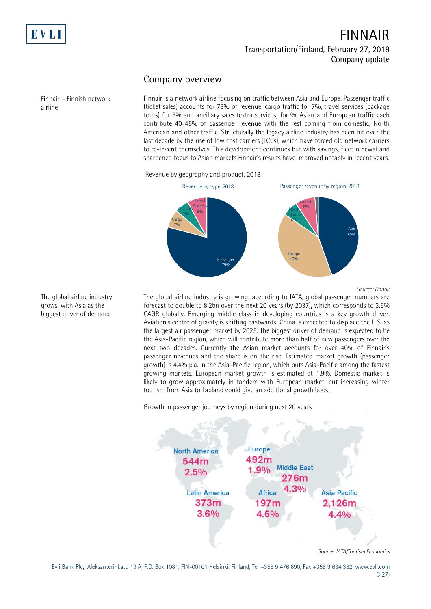

#### **Company overview**

Finnair – Finnish network airline

Finnair is a network airline focusing on traffic between Asia and Europe. Passenger traffic (ticket sales) accounts for 79% of revenue, cargo traffic for 7%, travel services (package tours) for 8% and ancillary sales (extra services) for %. Asian and European traffic each contribute 40-45% of passenger revenue with the rest coming from domestic, North American and other traffic. Structurally the legacy airline industry has been hit over the last decade by the rise of low cost carriers (LCCs), which have forced old network carriers to re-invent themselves. This development continues but with savings, fleet renewal and sharpened focus to Asian markets Finnair's results have improved notably in recent years.

Revenue by geography and product, 2018



The global airline industry grows, with Asia as the biggest driver of demand

*Source: Finnair*

The global airline industry is growing: according to IATA, global passenger numbers are forecast to double to 8.2bn over the next 20 years (by 2037), which corresponds to 3.5% CAGR globally. Emerging middle class in developing countries is a key growth driver. Aviation's centre of gravity is shifting eastwards: China is expected to displace the U.S. as the largest air passenger market by 2025. The biggest driver of demand is expected to be the Asia-Pacific region, which will contribute more than half of new passengers over the next two decades. Currently the Asian market accounts for over 40% of Finnair's passenger revenues and the share is on the rise. Estimated market growth (passenger growth) is 4.4% p.a. in the Asia-Pacific region, which puts Asia-Pacific among the fastest growing markets. European market growth is estimated at 1.9%. Domestic market is likely to grow approximately in tandem with European market, but increasing winter tourism from Asia to Lapland could give an additional growth boost.

Growth in passenger journeys by region during next 20 years



Evli Bank Plc, Aleksanterinkatu 19 A, P.O. Box 1081, FIN-00101 Helsinki, Finland, Tel +358 9 476 690, Fax +358 9 634 382, [www.evli.com](http://www.evli.com/) 3(27)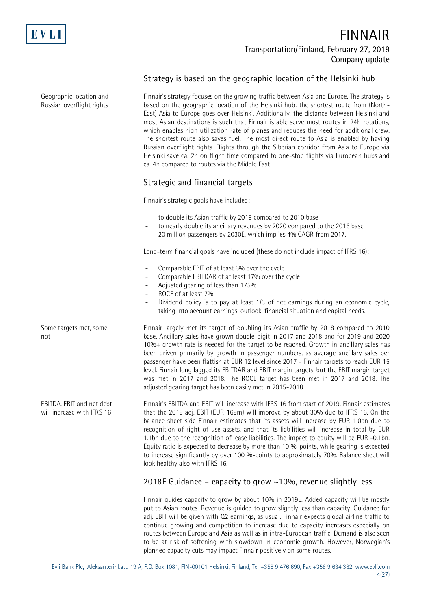

Geographic location and Russian overflight rights

Some targets met, some

EBITDA, EBIT and net debt will increase with IFRS 16

not

## **FINNAIR Transportation/Finland, February 27, 2019 Company update**

#### **Strategy is based on the geographic location of the Helsinki hub**

Finnair's strategy focuses on the growing traffic between Asia and Europe. The strategy is based on the geographic location of the Helsinki hub: the shortest route from (North-East) Asia to Europe goes over Helsinki. Additionally, the distance between Helsinki and most Asian destinations is such that Finnair is able serve most routes in 24h rotations, which enables high utilization rate of planes and reduces the need for additional crew. The shortest route also saves fuel. The most direct route to Asia is enabled by having Russian overflight rights. Flights through the Siberian corridor from Asia to Europe via Helsinki save ca. 2h on flight time compared to one-stop flights via European hubs and ca. 4h compared to routes via the Middle East.

#### **Strategic and financial targets**

Finnair's strategic goals have included:

- to double its Asian traffic by 2018 compared to 2010 base
- to nearly double its ancillary revenues by 2020 compared to the 2016 base
- 20 million passengers by 2030E, which implies 4% CAGR from 2017.

Long-term financial goals have included (these do not include impact of IFRS 16):

- Comparable EBIT of at least 6% over the cycle
- Comparable EBITDAR of at least 17% over the cycle
- Adjusted gearing of less than 175%
- ROCE of at least 7%
- Dividend policy is to pay at least 1/3 of net earnings during an economic cycle, taking into account earnings, outlook, financial situation and capital needs.

Finnair largely met its target of doubling its Asian traffic by 2018 compared to 2010 base. Ancillary sales have grown double-digit in 2017 and 2018 and for 2019 and 2020 10%+ growth rate is needed for the target to be reached. Growth in ancillary sales has been driven primarily by growth in passenger numbers, as average ancillary sales per passenger have been flattish at EUR 12 level since 2017 - Finnair targets to reach EUR 15 level. Finnair long lagged its EBITDAR and EBIT margin targets, but the EBIT margin target was met in 2017 and 2018. The ROCE target has been met in 2017 and 2018. The adjusted gearing target has been easily met in 2015-2018.

Finnair's EBITDA and EBIT will increase with IFRS 16 from start of 2019. Finnair estimates that the 2018 adj. EBIT (EUR 169m) will improve by about 30% due to IFRS 16. On the balance sheet side Finnair estimates that its assets will increase by EUR 1.0bn due to recognition of right-of-use assets, and that its liabilities will increase in total by EUR 1.1bn due to the recognition of lease liabilities. The impact to equity will be EUR -0.1bn. Equity ratio is expected to decrease by more than 10 %-points, while gearing is expected to increase significantly by over 100 %-points to approximately 70%. Balance sheet will look healthy also with IFRS 16.

#### **2018E Guidance – capacity to grow ~10%, revenue slightly less**

Finnair guides capacity to grow by about 10% in 2019E. Added capacity will be mostly put to Asian routes. Revenue is guided to grow slightly less than capacity. Guidance for adj. EBIT will be given with Q2 earnings, as usual. Finnair expects global airline traffic to continue growing and competition to increase due to capacity increases especially on routes between Europe and Asia as well as in intra-European traffic. Demand is also seen to be at risk of softening with slowdown in economic growth. However, Norwegian's planned capacity cuts may impact Finnair positively on some routes.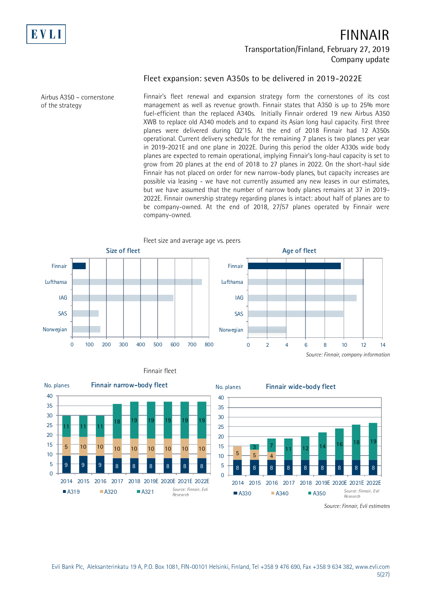

#### **Fleet expansion: seven A350s to be delivered in 2019-2022E**

Airbus A350 – cornerstone of the strategy

Finnair's fleet renewal and expansion strategy form the cornerstones of its cost management as well as revenue growth. Finnair states that A350 is up to 25% more fuel-efficient than the replaced A340s. Initially Finnair ordered 19 new Airbus A350 XWB to replace old A340 models and to expand its Asian long haul capacity. First three planes were delivered during Q2'15. At the end of 2018 Finnair had 12 A350s operational. Current delivery schedule for the remaining 7 planes is two planes per year in 2019-2021E and one plane in 2022E. During this period the older A330s wide body planes are expected to remain operational, implying Finnair's long-haul capacity is set to grow from 20 planes at the end of 2018 to 27 planes in 2022. On the short-haul side Finnair has not placed on order for new narrow-body planes, but capacity increases are possible via leasing - we have not currently assumed any new leases in our estimates, but we have assumed that the number of narrow body planes remains at 37 in 2019- 2022E. Finnair ownership strategy regarding planes is intact: about half of planes are to be company-owned. At the end of 2018, 27/57 planes operated by Finnair were company-owned.





Finnair fleet

*Source: Finnair, Evli estimates*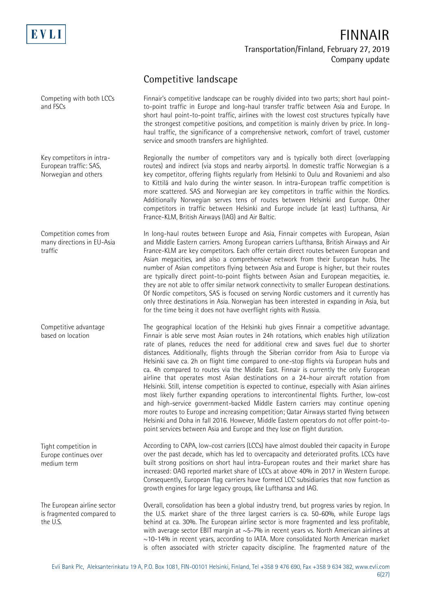

and FSCs

Competing with both LCCs

## **FINNAIR Transportation/Finland, February 27, 2019 Company update**

Finnair's competitive landscape can be roughly divided into two parts; short haul pointto-point traffic in Europe and long-haul transfer traffic between Asia and Europe. In

### **Competitive landscape**

short haul point-to-point traffic, airlines with the lowest cost structures typically have the strongest competitive positions, and competition is mainly driven by price. In longhaul traffic, the significance of a comprehensive network, comfort of travel, customer service and smooth transfers are highlighted. Regionally the number of competitors vary and is typically both direct (overlapping routes) and indirect (via stops and nearby airports). In domestic traffic Norwegian is a key competitor, offering flights regularly from Helsinki to Oulu and Rovaniemi and also to Kittilä and Ivalo during the winter season. In intra-European traffic competition is more scattered. SAS and Norwegian are key competitors in traffic within the Nordics. Additionally Norwegian serves tens of routes between Helsinki and Europe. Other competitors in traffic between Helsinki and Europe include (at least) Lufthansa, Air France-KLM, British Airways (IAG) and Air Baltic. In long-haul routes between Europe and Asia, Finnair competes with European, Asian and Middle Eastern carriers. Among European carriers Lufthansa, British Airways and Air France-KLM are key competitors. Each offer certain direct routes between European and Asian megacities, and also a comprehensive network from their European hubs. The number of Asian competitors flying between Asia and Europe is higher, but their routes are typically direct point-to-point flights between Asian and European megacities, ie. they are not able to offer similar network connectivity to smaller European destinations. Of Nordic competitors, SAS is focused on serving Nordic customers and it currently has only three destinations in Asia. Norwegian has been interested in expanding in Asia, but for the time being it does not have overflight rights with Russia. The geographical location of the Helsinki hub gives Finnair a competitive advantage. Finnair is able serve most Asian routes in 24h rotations, which enables high utilization rate of planes, reduces the need for additional crew and saves fuel due to shorter distances. Additionally, flights through the Siberian corridor from Asia to Europe via Helsinki save ca. 2h on flight time compared to one-stop flights via European hubs and ca. 4h compared to routes via the Middle East. Finnair is currently the only European airline that operates most Asian destinations on a 24-hour aircraft rotation from Helsinki. Still, intense competition is expected to continue, especially with Asian airlines most likely further expanding operations to intercontinental flights. Further, low-cost and high-service government-backed Middle Eastern carriers may continue opening more routes to Europe and increasing competition; Qatar Airways started flying between Helsinki and Doha in fall 2016. However, Middle Eastern operators do not offer point-topoint services between Asia and Europe and they lose on flight duration. According to CAPA, low-cost carriers (LCCs) have almost doubled their capacity in Europe over the past decade, which has led to overcapacity and deteriorated profits. LCCs have built strong positions on short haul intra-European routes and their market share has increased: OAG reported market share of LCCs at above 40% in 2017 in Western Europe. Consequently, European flag carriers have formed LCC subsidiaries that now function as growth engines for large legacy groups, like Lufthansa and IAG. Overall, consolidation has been a global industry trend, but progress varies by region. In the U.S. market share of the three largest carriers is ca. 50-60%, while Europe lags behind at ca. 30%. The European airline sector is more fragmented and less profitable, with average sector EBIT margin at ~5-7% in recent years vs. North American airlines at Key competitors in intra-European traffic: SAS, Norwegian and others Competition comes from many directions in EU-Asia traffic Competitive advantage based on location Tight competition in Europe continues over medium term The European airline sector is fragmented compared to the U.S.

~10-14% in recent years, according to IATA. More consolidated North American market is often associated with stricter capacity discipline. The fragmented nature of the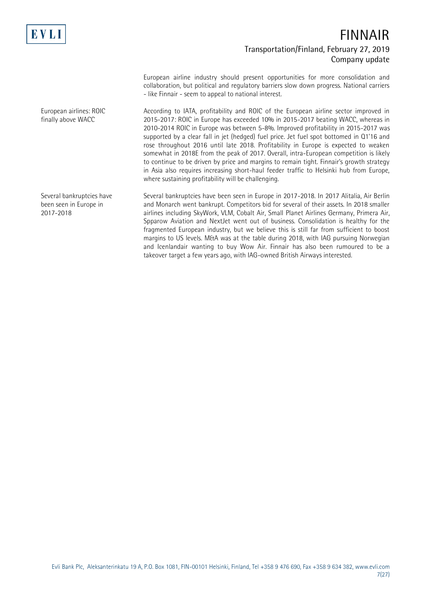

European airline industry should present opportunities for more consolidation and collaboration, but political and regulatory barriers slow down progress. National carriers - like Finnair - seem to appeal to national interest.

According to IATA, profitability and ROIC of the European airline sector improved in 2015-2017: ROIC in Europe has exceeded 10% in 2015-2017 beating WACC, whereas in 2010-2014 ROIC in Europe was between 5-8%. Improved profitability in 2015-2017 was supported by a clear fall in jet (hedged) fuel price. Jet fuel spot bottomed in Q1'16 and rose throughout 2016 until late 2018. Profitability in Europe is expected to weaken somewhat in 2018E from the peak of 2017. Overall, intra-European competition is likely to continue to be driven by price and margins to remain tight. Finnair's growth strategy in Asia also requires increasing short-haul feeder traffic to Helsinki hub from Europe, where sustaining profitability will be challenging.

Several bankruptcies have been seen in Europe in 2017-2018. In 2017 Alitalia, Air Berlin and Monarch went bankrupt. Competitors bid for several of their assets. In 2018 smaller airlines including SkyWork, VLM, Cobalt Air, Small Planet Airlines Germany, Primera Air, Spparow Aviation and NextJet went out of business. Consolidation is healthy for the fragmented European industry, but we believe this is still far from sufficient to boost margins to US levels. M&A was at the table during 2018, with IAG pursuing Norwegian and Icenlandair wanting to buy Wow Air. Finnair has also been rumoured to be a takeover target a few years ago, with IAG-owned British Airways interested.

European airlines: ROIC finally above WACC

Several bankruptcies have been seen in Europe in 2017-2018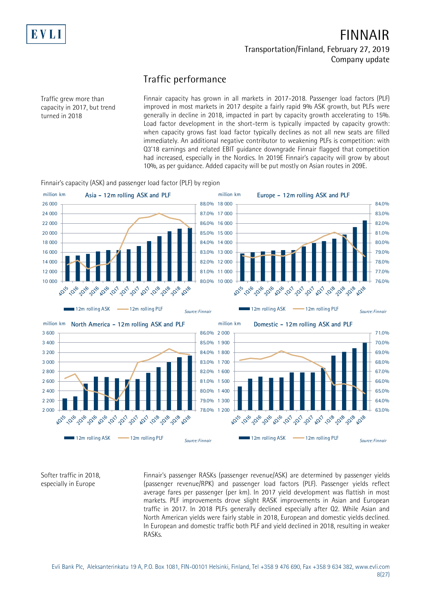

### **Traffic performance**

Traffic grew more than capacity in 2017, but trend turned in 2018

Finnair capacity has grown in all markets in 2017-2018. Passenger load factors (PLF) improved in most markets in 2017 despite a fairly rapid 9% ASK growth, but PLFs were generally in decline in 2018, impacted in part by capacity growth accelerating to 15%. Load factor development in the short-term is typically impacted by capacity growth: when capacity grows fast load factor typically declines as not all new seats are filled immediately. An additional negative contributor to weakening PLFs is competition: with Q3'18 earnings and related EBIT guidance downgrade Finnair flagged that competition had increased, especially in the Nordics. In 2019E Finnair's capacity will grow by about 10%, as per guidance. Added capacity will be put mostly on Asian routes in 209E.

Finnair's capacity (ASK) and passenger load factor (PLF) by region



Softer traffic in 2018, especially in Europe

Finnair's passenger RASKs (passenger revenue/ASK) are determined by passenger yields (passenger revenue/RPK) and passenger load factors (PLF). Passenger yields reflect average fares per passenger (per km). In 2017 yield development was flattish in most markets. PLF improvements drove slight RASK improvements in Asian and European traffic in 2017. In 2018 PLFs generally declined especially after Q2. While Asian and North American yields were fairly stable in 2018, European and domestic yields declined. In European and domestic traffic both PLF and yield declined in 2018, resulting in weaker RASKs.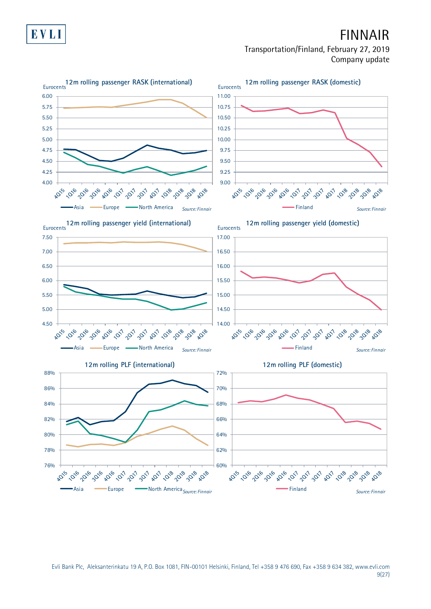

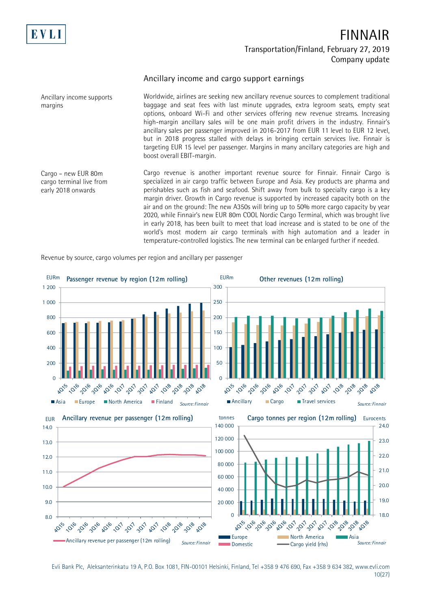

margins

## **FINNAIR Transportation/Finland, February 27, 2019 Company update**

#### **Ancillary income and cargo support earnings**

Worldwide, airlines are seeking new ancillary revenue sources to complement traditional baggage and seat fees with last minute upgrades, extra legroom seats, empty seat options, onboard Wi-Fi and other services offering new revenue streams. Increasing high-margin ancillary sales will be one main profit drivers in the industry. Finnair's ancillary sales per passenger improved in 2016-2017 from EUR 11 level to EUR 12 level, but in 2018 progress stalled with delays in bringing certain services live. Finnair is targeting EUR 15 level per passenger. Margins in many ancillary categories are high and boost overall EBIT-margin.

Cargo – new EUR 80m cargo terminal live from early 2018 onwards

Ancillary income supports

Cargo revenue is another important revenue source for Finnair. Finnair Cargo is specialized in air cargo traffic between Europe and Asia. Key products are pharma and perishables such as fish and seafood. Shift away from bulk to specialty cargo is a key margin driver. Growth in Cargo revenue is supported by increased capacity both on the air and on the ground: The new A350s will bring up to 50% more cargo capacity by year 2020, while Finnair's new EUR 80m COOL Nordic Cargo Terminal, which was brought live in early 2018, has been built to meet that load increase and is stated to be one of the world's most modern air cargo terminals with high automation and a leader in temperature-controlled logistics. The new terminal can be enlarged further if needed.

Revenue by source, cargo volumes per region and ancillary per passenger



Evli Bank Plc, Aleksanterinkatu 19 A, P.O. Box 1081, FIN-00101 Helsinki, Finland, Tel +358 9 476 690, Fax +358 9 634 382, [www.evli.com](http://www.evli.com/) 10(27)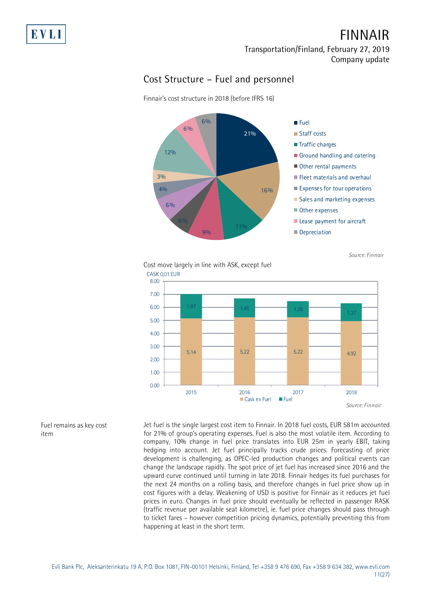### **Cost Structure – Fuel and personnel**

Finnair's cost structure in 2018 (before IFRS 16)



*Source: Finnair*

#### Cost move largely in line with ASK, except fuel CASK 0,01 EUR



Jet fuel is the single largest cost item to Finnair. In 2018 fuel costs, EUR 581m accounted for 21% of group's operating expenses. Fuel is also the most volatile item. According to company, 10% change in fuel price translates into EUR 25m in yearly EBIT, taking hedging into account. Jet fuel principally tracks crude prices. Forecasting of price development is challenging, as OPEC-led production changes and political events can change the landscape rapidly. The spot price of jet fuel has increased since 2016 and the upward curve continued until turning in late 2018. Finnair hedges its fuel purchases for the next 24 months on a rolling basis, and therefore changes in fuel price show up in cost figures with a delay. Weakening of USD is positive for Finnair as it reduces jet fuel prices in euro. Changes in fuel price should eventually be reflected in passenger RASK (traffic revenue per available seat kilometre), ie. fuel price changes should pass through to ticket fares – however competition pricing dynamics, potentially preventing this from happening at least in the short term.

#### Fuel remains as key cost item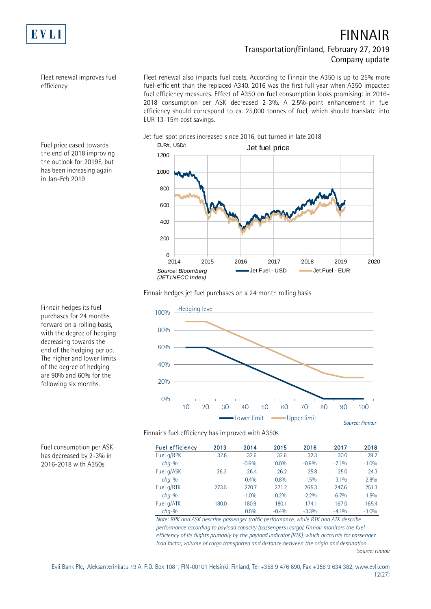

Fleet renewal improves fuel efficiency

Fleet renewal also impacts fuel costs. According to Finnair the A350 is up to 25% more fuel-efficient than the replaced A340. 2016 was the first full year when A350 impacted fuel efficiency measures. Effect of A350 on fuel consumption looks promising: in 2016- 2018 consumption per ASK decreased 2-3%. A 2.5%-point enhancement in fuel efficiency should correspond to ca. 25,000 tonnes of fuel, which should translate into EUR 13-15m cost savings.

Jet fuel spot prices increased since 2016, but turned in late 2018



Fuel price eased towards the end of 2018 improving the outlook for 2019E, but has been increasing again in Jan-Feb 2019

Finnair hedges jet fuel purchases on a 24 month rolling basis



Finnair hedges its fuel purchases for 24 months forward on a rolling basis, with the degree of hedging decreasing towards the end of the hedging period. The higher and lower limits of the degree of hedging are 90% and 60% for the following six months.

Finnair's fuel efficiency has improved with A350s

| <b>Fuel efficiency</b> | 2013  | 2014    | 2015    | 2016    | 2017    | 2018    |
|------------------------|-------|---------|---------|---------|---------|---------|
| Fuel g/RPK             | 32.8  | 32.6    | 32.6    | 32.3    | 30.0    | 29.7    |
| $chq-$ %               |       | $-0.6%$ | 0.0%    | $-0.9%$ | $-7.1%$ | $-1.0%$ |
| Fuel g/ASK             | 26.3  | 26.4    | 26.2    | 25.8    | 25.0    | 24.3    |
| $chq-$ %               |       | 0.4%    | $-0.8%$ | $-1.5%$ | $-3.1%$ | $-2.8%$ |
| Fuel g/RTK             | 273.5 | 270.7   | 271.2   | 265.3   | 247.6   | 251.3   |
| $chq-$ %               |       | $-1.0%$ | 0.2%    | $-2.2%$ | $-6.7%$ | 1.5%    |
| Fuel g/ATK             | 180.0 | 180.9   | 180.1   | 174.1   | 167.0   | 165.4   |
| $chq-9$                |       | 0.5%    | $-0.4%$ | $-3.3%$ | $-4.1%$ | $-1.0%$ |

*Note: RPK and ASK describe passenger traffic performance, while RTK and ATK describe performance according to payload capacity (passengers+cargo). Finnair monitors the fuel efficiency of its flights primarily by the payload indicator (RTK), which accounts for passenger load factor, volume of cargo transported and distance between the origin and destination.*

Fuel consumption per ASK has decreased by 2-3% in 2016-2018 with A350s

*Source: Finnair*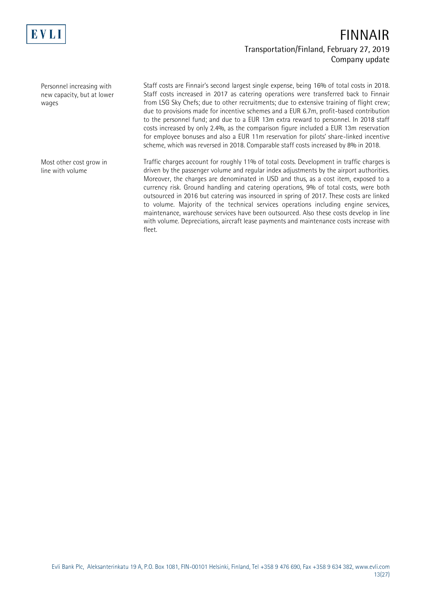

Personnel increasing with new capacity, but at lower wages

Staff costs are Finnair's second largest single expense, being 16% of total costs in 2018. Staff costs increased in 2017 as catering operations were transferred back to Finnair from LSG Sky Chefs; due to other recruitments; due to extensive training of flight crew; due to provisions made for incentive schemes and a EUR 6.7m, profit-based contribution to the personnel fund; and due to a EUR 13m extra reward to personnel. In 2018 staff costs increased by only 2.4%, as the comparison figure included a EUR 13m reservation for employee bonuses and also a EUR 11m reservation for pilots' share-linked incentive scheme, which was reversed in 2018. Comparable staff costs increased by 8% in 2018.

Most other cost grow in line with volume

Traffic charges account for roughly 11% of total costs. Development in traffic charges is driven by the passenger volume and regular index adjustments by the airport authorities. Moreover, the charges are denominated in USD and thus, as a cost item, exposed to a currency risk. Ground handling and catering operations, 9% of total costs, were both outsourced in 2016 but catering was insourced in spring of 2017. These costs are linked to volume. Majority of the technical services operations including engine services, maintenance, warehouse services have been outsourced. Also these costs develop in line with volume. Depreciations, aircraft lease payments and maintenance costs increase with fleet.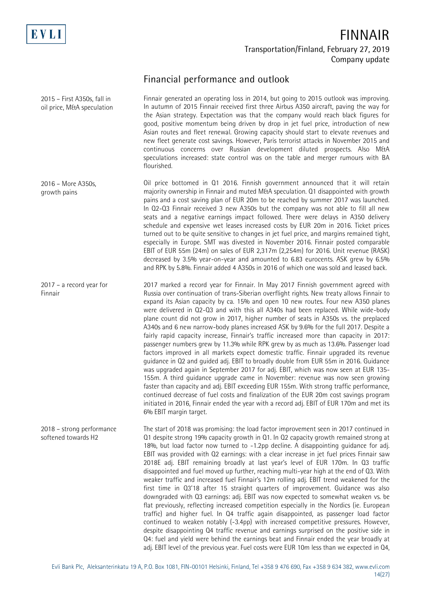

2015 – First A350s, fall in oil price, M&A speculation

## **FINNAIR Transportation/Finland, February 27, 2019 Company update**

## **Financial performance and outlook**

Finnair generated an operating loss in 2014, but going to 2015 outlook was improving. In autumn of 2015 Finnair received first three Airbus A350 aircraft, paving the way for the Asian strategy. Expectation was that the company would reach black figures for good, positive momentum being driven by drop in jet fuel price, introduction of new Asian routes and fleet renewal. Growing capacity should start to elevate revenues and new fleet generate cost savings. However, Paris terrorist attacks in November 2015 and continuous concerns over Russian development diluted prospects. Also M&A speculations increased: state control was on the table and merger rumours with BA flourished.

Oil price bottomed in Q1 2016. Finnish government announced that it will retain majority ownership in Finnair and muted M&A speculation. Q1 disappointed with growth pains and a cost saving plan of EUR 20m to be reached by summer 2017 was launched. In Q2-Q3 Finnair received 3 new A350s but the company was not able to fill all new seats and a negative earnings impact followed. There were delays in A350 delivery schedule and expensive wet leases increased costs by EUR 20m in 2016. Ticket prices turned out to be quite sensitive to changes in jet fuel price, and margins remained tight, especially in Europe. SMT was divested in November 2016. Finnair posted comparable EBIT of EUR 55m (24m) on sales of EUR 2,317m (2,254m) for 2016. Unit revenue (RASK) decreased by 3.5% year-on-year and amounted to 6.83 eurocents. ASK grew by 6.5% and RPK by 5.8%. Finnair added 4 A350s in 2016 of which one was sold and leased back. 2016 – More A350s, growth pains

2017 marked a record year for Finnair. In May 2017 Finnish government agreed with Russia over continuation of trans-Siberian overflight rights. New treaty allows Finnair to expand its Asian capacity by ca. 15% and open 10 new routes. Four new A350 planes were delivered in Q2-Q3 and with this all A340s had been replaced. While wide-body plane count did not grow in 2017, higher number of seats in A350s vs. the preplaced A340s and 6 new narrow-body planes increased ASK by 9.6% for the full 2017. Despite a fairly rapid capacity increase, Finnair's traffic increased more than capacity in 2017: passenger numbers grew by 11.3% while RPK grew by as much as 13.6%. Passenger load factors improved in all markets expect domestic traffic. Finnair upgraded its revenue guidance in Q2 and guided adj. EBIT to broadly double from EUR 55m in 2016. Guidance was upgraded again in September 2017 for adj. EBIT, which was now seen at EUR 135- 155m. A third guidance upgrade came in November: revenue was now seen growing faster than capacity and adj. EBIT exceeding EUR 155m. With strong traffic performance, continued decrease of fuel costs and finalization of the EUR 20m cost savings program initiated in 2016, Finnair ended the year with a record adj. EBIT of EUR 170m and met its 6% EBIT margin target. 2017 – a record year for Finnair

The start of 2018 was promising: the load factor improvement seen in 2017 continued in Q1 despite strong 19% capacity growth in Q1. In Q2 capacity growth remained strong at 18%, but load factor now turned to -1.2pp decline. A disappointing guidance for adj. EBIT was provided with Q2 earnings: with a clear increase in jet fuel prices Finnair saw 2018E adj. EBIT remaining broadly at last year's level of EUR 170m. In Q3 traffic disappointed and fuel moved up further, reaching multi-year high at the end of Q3. With weaker traffic and increased fuel Finnair's 12m rolling adj. EBIT trend weakened for the first time in Q3'18 after 15 straight quarters of improvement. Guidance was also downgraded with Q3 earnings: adj. EBIT was now expected to somewhat weaken vs. be flat previously, reflecting increased competition especially in the Nordics (ie. European traffic) and higher fuel. In Q4 traffic again disappointed, as passenger load factor continued to weaken notably (-3.4pp) with increased competitive pressures. However, despite disappointing Q4 traffic revenue and earnings surprised on the positive side in Q4: fuel and yield were behind the earnings beat and Finnair ended the year broadly at adj. EBIT level of the previous year. Fuel costs were EUR 10m less than we expected in Q4, 2018 – strong performance softened towards H2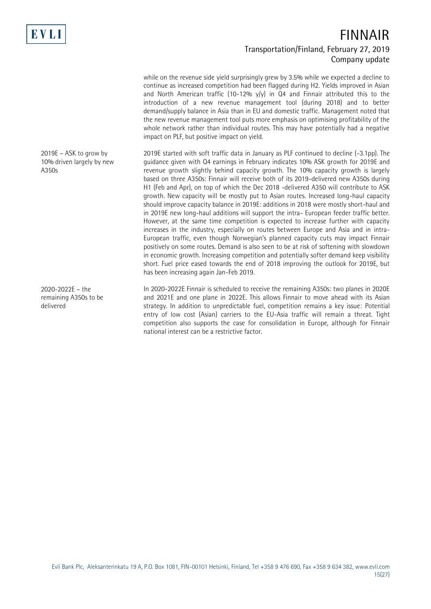

while on the revenue side yield surprisingly grew by 3.5% while we expected a decline to continue as increased competition had been flagged during H2. Yields improved in Asian and North American traffic (10-12%  $y/y$ ) in Q4 and Finnair attributed this to the introduction of a new revenue management tool (during 2018) and to better demand/supply balance in Asia than in EU and domestic traffic. Management noted that the new revenue management tool puts more emphasis on optimising profitability of the whole network rather than individual routes. This may have potentially had a negative impact on PLF, but positive impact on yield.

2019E started with soft traffic data in January as PLF continued to decline (-3.1pp). The guidance given with Q4 earnings in February indicates 10% ASK growth for 2019E and revenue growth slightly behind capacity growth. The 10% capacity growth is largely based on three A350s: Finnair will receive both of its 2019-delivered new A350s during H1 (Feb and Apr), on top of which the Dec 2018 -delivered A350 will contribute to ASK growth. New capacity will be mostly put to Asian routes. Increased long-haul capacity should improve capacity balance in 2019E: additions in 2018 were mostly short-haul and in 2019E new long-haul additions will support the intra- European feeder traffic better. However, at the same time competition is expected to increase further with capacity increases in the industry, especially on routes between Europe and Asia and in intra-European traffic, even though Norwegian's planned capacity cuts may impact Finnair positively on some routes. Demand is also seen to be at risk of softening with slowdown in economic growth. Increasing competition and potentially softer demand keep visibility short. Fuel price eased towards the end of 2018 improving the outlook for 2019E, but has been increasing again Jan-Feb 2019.

In 2020-2022E Finnair is scheduled to receive the remaining A350s: two planes in 2020E and 2021E and one plane in 2022E. This allows Finnair to move ahead with its Asian strategy. In addition to unpredictable fuel, competition remains a key issue: Potential entry of low cost (Asian) carriers to the EU-Asia traffic will remain a threat. Tight competition also supports the case for consolidation in Europe, although for Finnair national interest can be a restrictive factor.

2019E – ASK to grow by 10% driven largely by new A350s

2020-2022E – the remaining A350s to be delivered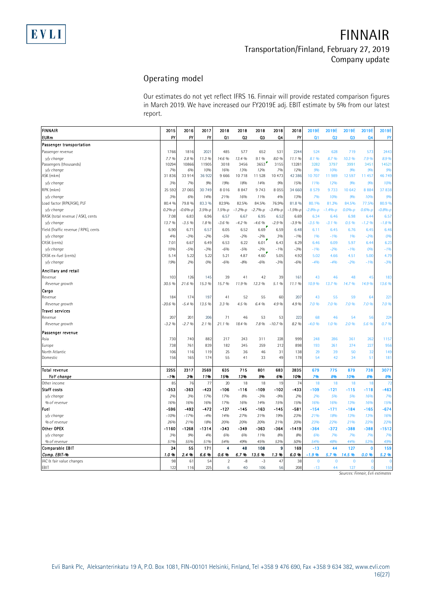#### **Operating model**

|                                      | Our estimates do not yet reflect IFRS 16. Finnair will provide restated comparison figures |              |               |                     |              |               |                |                 |                       |                    |                     |                      |              |
|--------------------------------------|--------------------------------------------------------------------------------------------|--------------|---------------|---------------------|--------------|---------------|----------------|-----------------|-----------------------|--------------------|---------------------|----------------------|--------------|
|                                      | in March 2019. We have increased our FY2019E adj. EBIT estimate by 5% from our latest      |              |               |                     |              |               |                |                 |                       |                    |                     |                      |              |
|                                      | report.                                                                                    |              |               |                     |              |               |                |                 |                       |                    |                     |                      |              |
|                                      |                                                                                            |              |               |                     |              |               |                |                 |                       |                    |                     |                      |              |
| <b>FINNAIR</b>                       | 2015                                                                                       | 2016         | 2017          | 2018                | 2018         | 2018          | 2018           | 2018            | 2019E                 | 2019E              | 2019E               | 2019E                | 2019E        |
| <b>EURm</b>                          | FY                                                                                         | FY           | <b>FY</b>     | Q1                  | Q2           | Q3            | Q <sub>4</sub> | FY              | Q1                    | Q <sub>2</sub>     | Q3                  | Q <sub>4</sub>       | FY           |
| Passenger transportation             |                                                                                            |              |               |                     |              |               |                |                 |                       |                    |                     |                      |              |
| Passenger revenue                    | 1766                                                                                       | 1816         | 2021          | 485                 | 577          | 652           | 531            | 2244            | 524                   | 628                | 719                 | 573                  | 2443         |
| y/y change                           | 7.7%                                                                                       | 2.8%         | 11.3 %        | 14.6 %              | 13.4 %       | 9.1%          | 8.0%           | 11.1%           | 8.1%                  | 8.7 %              | 10.3 %              | 7.9%                 | 8.9%         |
| Passengers (thousands)               | 10294                                                                                      | 10866        | 11905         | 3018                | 3456         | 3653          | 3155           | 13281           | 3282                  | 3797               | 3991                | 3451                 | 14521        |
| y/y change<br>ASK (mkm)              | 7%<br>31836                                                                                | 6%<br>33 914 | 10%<br>36 922 | 16%<br>9 6 6 6      | 13%<br>10718 | 12%<br>11 528 | 7%<br>10 473   | 12%<br>42 3 8 6 | 9%<br>10 707          | 10%<br>11989       | 9%<br>12597         | 9%<br>11 457         | 9%<br>46 749 |
| y/y change                           | 3%                                                                                         | 7%           | 9%            | 19%                 | 18%          | 14%           | 9%             | 15%             | 11%                   | 12%                | 9%                  | 9%                   | <b>10%</b>   |
| RPK (mkm)                            | 25 5 92                                                                                    | 27 065       | 30 749        | 8016                | 8847         | 9 7 4 3       | 8 0 5 5        | 34 660          | 8 5 7 9               | 9733               | 10 642              | 8884                 | 37 838       |
| v/v change                           | 3%                                                                                         | 6%           | 14%           | 21%                 |              | 11%           |                | 13%             | 7%                    | 10%                | 9%                  | 10%                  | 9%           |
| Load factor (RPK/ASK), PLF           | 80.4 %                                                                                     | 79.8 %       | 83.3 %        | 82.9%               | 16%<br>82.5% | 84.5%         | 4%<br>76.9%    | 81.8%           | 80.1%                 | 81.2%              | 84.5%               | 77.5%                | 80.9 %       |
| y/y change                           | $0.2%-p$                                                                                   | $-0.6%-p$    | $3.5%-p$      | $1.5% - p$          | $-1.2% - p$  | $-2.7%-p$     | $-3.4%-p$      | $-1.5%-p$       | $-2.8%-p$             | $-1.4%-p$          | $0.0%-p$            | $0.6%-p$             | $-0.8% - p$  |
| RASK (total revenue / ASK), cents    | 7.08                                                                                       | 6.83         | 6.96          | 6.57                | 6.67         | 6.95          | 6.52           | 6.69            | 6.34                  | 6.46               | 6.98                | 6.44                 | 6.57         |
| y/y change                           | 13.7%                                                                                      | $-3.5%$      | 1.8%          | $-3.6%$             | $-4.2%$      | $-4.6\%$      | $-2.9%$        | $-3.9%$         | $-3.5%$               | $-3.1%$            | 0.5%                | $-1.2%$              | $-1.8%$      |
| Yield (Traffic revenue / RPK), cents | 6.90                                                                                       | 6.71         | 6.57          | 6.05                | 6.52         | 6.69          | 6.59           | 6.48            | 6.11                  | 6.45               | 6.76                | 6.45                 | 6.46         |
| y/y change                           | 4%                                                                                         | $-3%$        | $-2%$         | $-5%$               | $-2%$        | $-2%$         | 3%             | $-1%$           | 1%                    | $-1%$              | 1%                  | $-2%$                | <b>0%</b>    |
| CASK (cents)                         | 7.01                                                                                       | 6.67         | 6.49          | 6.53                | 6.22         | 6.01          | 6.43           | 6.29            | 6.46                  | 6.09               | 5.97                | 6.44                 | 6.23         |
| v/v change                           | 10%                                                                                        | $-5%$        | $-3%$         | $-6%$               | $-5%$        | $-2%$         | $-1%$          | $-3%$           | $-1%$                 | $-2%$              | $-196$              | 0%                   | $-1%$        |
| CASK ex-fuel (cents)                 | 5.14                                                                                       | 5.22         | 5.22          | 5.21                | 4.87         | 4.60          | 5.05           | 4.92            | 5.02                  | 4.66               | 4.51                | 5.00                 | 4.79         |
| y/y change                           | 19%                                                                                        | 2%           | 0%            | $-6%$               | $-8%$        | $-6%$         | $-3%$          | $-6%$           | $-4%$                 | $-4%$              | $-2%$               | -1%                  | $-3%$        |
|                                      |                                                                                            |              |               |                     |              |               |                |                 |                       |                    |                     |                      |              |
| Ancillary and retail<br>Revenue      | 103                                                                                        | 126          | 145           | 39                  | 41           | 42            | 39             | 161             | 43                    | 46                 | 48                  | 45                   | 183          |
| Revenue growth                       | 30.5 %                                                                                     | 21.6%        | 15.3 %        | 15.7%               | 11.9%        | 12.3 %        | 5.1%           | 11.1%           | 10.9%                 | 13.7%              | 14.7%               | 14.9%                | 13.6 %       |
|                                      |                                                                                            |              |               |                     |              |               |                |                 |                       |                    |                     |                      |              |
| Cargo                                | 184                                                                                        | 174          | 197           | 41                  | 52           |               |                | 207             | 43                    | 55                 | 59                  |                      | 221          |
| Revenue<br>Revenue growth            | -20.6 %                                                                                    | $-5.4%$      | 13.5 %        | 3.3 %               | 4.5 %        | 55<br>6.4 %   | 60<br>4.9%     | 4.9%            | 7.0%                  | 7.0%               | 7.0%                | 64<br>7.0%           | 7.0 %        |
| <b>Travel services</b>               |                                                                                            |              |               |                     |              |               |                |                 |                       |                    |                     |                      |              |
| Revenue                              | 207                                                                                        | 201          | 206           | 71                  | 46           | 53            | 53             | 223             | 68                    | 46                 | 54                  | 56                   | 224          |
| Revenue growth                       | $-3.2%$                                                                                    | $-2.7%$      | 2.1 %         | 21.1%               | 18.4 %       | 7.8%          | $-10.7%$       | 8.2 %           | $-4.0%$               | 1.0%               | 2.0%                | 5.6 %                | 0.7%         |
|                                      |                                                                                            |              |               |                     |              |               |                |                 |                       |                    |                     |                      |              |
| Passenger revenue                    |                                                                                            |              |               |                     |              |               |                |                 |                       |                    |                     |                      |              |
| Asia                                 | 730                                                                                        | 740          | 882           | 217                 | 243          | 311           | 228            | 999             | 248                   | 286                | 361                 | 262                  | 1157         |
| Europe                               | 738                                                                                        | 761          | 839           | 182                 | 245          | 259           | 212            | 898             | 193                   | 261                | 274                 | 227                  | 956          |
| North Atlantic<br>Domestic           | 106<br>156                                                                                 | 116<br>165   | 119<br>174    | 25<br>55            | 36<br>41     | 46<br>33      | 31<br>49       | 138<br>178      | 29<br>54              | 39<br>42           | 50<br>34            | 32<br>51             | 149<br>181   |
|                                      |                                                                                            |              |               |                     |              |               |                |                 |                       |                    |                     |                      |              |
| Total revenue                        | 2255                                                                                       | 2317         | 2569          | 635                 | 715          | 801           | 683            | 2835            | 679                   | 775                | 879                 | 738                  | 3071         |
| YoY change                           | -1%                                                                                        | 3%           | 11%           | 15%                 | 13%          | 9%            | 6%             | 10%             | 7%                    | 8%                 | 10%                 | 8%                   | 8%           |
| Other income                         | 85                                                                                         | 76           | 77            | 20                  | 18           | 18            | 19             | 74              | 18                    | 18                 | 18                  | 18                   | 72           |
| Staff costs                          | -353                                                                                       | -363         | -423          | $-106$              | $-116$       | -109          | $-102$         | -433            | $-109$                | $-121$             | $-115$              | $-118$               | -463         |
| y/y change                           | 2%                                                                                         | 3%           | 17%           | 17%                 | 8%           | $-3%$         | $-9%$          | 2%              | 2%                    | 5%                 | 5%                  | 16%                  | 7%           |
| % of revenue                         | 16%                                                                                        | 16%          | 16%           | 17%                 | 16%          | 14%           | 15%            | 15%             | 16%                   | 16%                | 13%                 | 16%                  | 15%          |
| Fuel                                 | -596                                                                                       | $-492$       | -472          | $-127$              | $-145$       | $-163$        | $-145$         | -581            | $-154$                | $-171$             | $-184$              | $-165$               | $-674$       |
| y/y change                           | $-10%$                                                                                     | $-17%$       | $-4%$         | 14%                 | 27%          | 31%           | 19%            | 23%             | 21%                   | 18%                | 13%                 | 13%                  | 16%          |
| % of revenue                         | 26%                                                                                        | 21%          | 18%           | 20%                 | 20%          | 20%           | 21%            | 20%             | 23%                   | 22%                | 21%                 | 22%                  | 22%          |
| Other OPEX                           | $-1160$                                                                                    | $-1268$      | $-1314$       | $-343$              | $-349$       | -363          | $-364$         | -1419           | $-364$                | $-372$             | -388                | $-388$               | $-1512$      |
| y/y change                           | 3%                                                                                         | 9%           | 4%            | 6%                  | 6%           | 11%           | 8%             | 8%              | 6%                    | 7%                 | 7%                  | 7%                   | 7%           |
| % of revenue                         | 51%                                                                                        | 55%          | 51%           | 54%                 | 49%          | 45%           | 53%            | 50%             | 54%                   | 48%                | 44%                 | 53%                  | 49%          |
| <b>Comparable EBIT</b>               | 24                                                                                         | 55           | 171           | 4                   | 48           | 108           | 9              | 169             | $-13$                 | 44                 | 127                 | $\mathbf 0$          | 159          |
| Comp. EBIT-%                         | 1.0%                                                                                       | 2.4%         | 6.6%          | 0.6%                | 6.7%         | 13.5%         | 1.3%           | 6.0%            | $-1.9%$               | 5.7%               | 14.5 %              | 0.0 %                | 5.2 %        |
|                                      |                                                                                            |              |               |                     |              |               |                |                 |                       |                    |                     |                      |              |
| IAC & fair value changes<br>EBIT     | 98<br>122                                                                                  | 61<br>116    | 54<br>225     | $\overline{2}$<br>6 | -8<br>40     | $-3$<br>106   | 47<br>56       | 38<br>208       | $\mathbf{0}$<br>$-13$ | $\mathbf{0}$<br>44 | $\mathbf{0}$<br>127 | $\Omega$<br>$\Omega$ | 159          |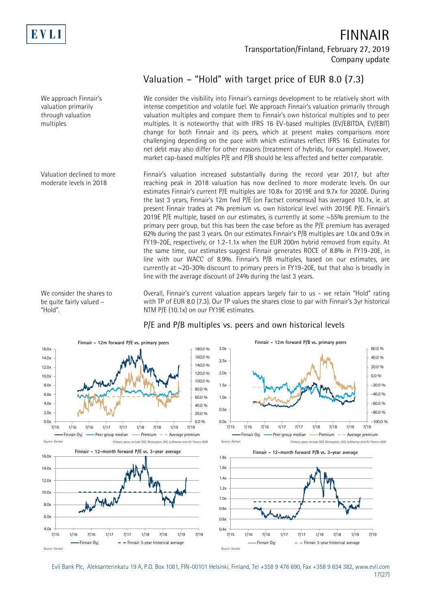

We approach Finnair's valuation primarily through valuation multiples

Valuation declined to more moderate levels in 2018

We consider the shares to be quite fairly valued – "Hold".

**FINNAIR Transportation/Finland, February 27, 2019 Company update**

### **Valuation – "Hold" with target price of EUR 8.0 (7.3)**

We consider the visibility into Finnair's earnings development to be relatively short with intense competition and volatile fuel. We approach Finnair's valuation primarily through valuation multiples and compare them to Finnair's own historical multiples and to peer multiples. It is noteworthy that with IFRS 16 EV-based multiples (EV/EBITDA, EV/EBIT) change for both Finnair and its peers, which at present makes comparisons more challenging depending on the pace with which estimates reflect IFRS 16. Estimates for net debt may also differ for other reasons (treatment of hybrids, for example). However, market cap-based multiples P/E and P/B should be less affected and better comparable.

Finnair's valuation increased substantially during the record year 2017, but after reaching peak in 2018 valuation has now declined to more moderate levels. On our estimates Finnair's current P/E multiples are 10.8x for 2019E and 9.7x for 2020E. During the last 3 years, Finnair's 12m fwd P/E (on Factset consensus) has averaged 10.1x, ie. at present Finnair trades at 7% premium vs. own historical level with 2019E P/E. Finnair's 2019E P/E multiple, based on our estimates, is currently at some  $\sim$ 55% premium to the primary peer group, but this has been the case before as the P/E premium has averaged 62% during the past 3 years. On our estimates Finnair's P/B multiples are 1.0x and 0.9x in FY19-20E, respectively, or 1.2-1.1x when the EUR 200m hybrid removed from equity. At the same time, our estimates suggest Finnair generates ROCE of 8.8% in FY19-20E, in line with our WACC of 8.9%. Finnair's P/B multiples, based on our estimates, are currently at ~20-30% discount to primary peers in FY19-20E, but that also is broadly in line with the average discount of 24% during the last 3 years.

Overall, Finnair's current valuation appears largely fair to us - we retain "Hold" rating with TP of EUR 8.0 (7.3). Our TP values the shares close to par with Finnair's 3yr historical NTM P/E (10.1x) on our FY19E estimates.



#### **P/E and P/B multiples vs. peers and own historical levels**

Evli Bank Plc, Aleksanterinkatu 19 A, P.O. Box 1081, FIN-00101 Helsinki, Finland, Tel +358 9 476 690, Fax +358 9 634 382, [www.evli.com](http://www.evli.com/) 17(27)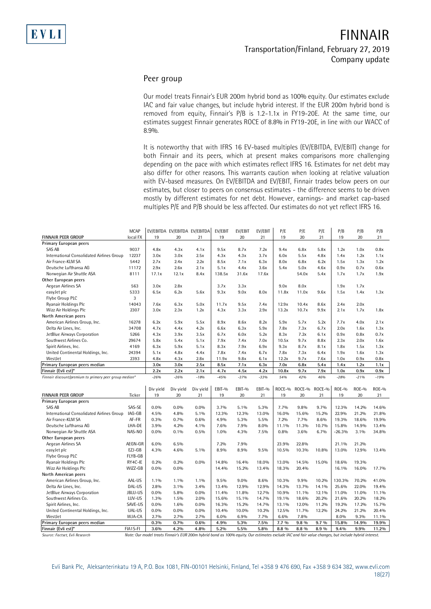#### **Peer group**

Our model treats Finnair's EUR 200m hybrid bond as 100% equity. Our estimates exclude IAC and fair value changes, but include hybrid interest. If the EUR 200m hybrid bond is removed from equity, Finnair's P/B is 1.2-1.1x in FY19-20E. At the same time, our estimates suggest Finnair generates ROCE of 8.8% in FY19-20E, in line with our WACC of 8.9%.

It is noteworthy that with IFRS 16 EV-based multiples (EV/EBITDA, EV/EBIT) change for both Finnair and its peers, which at present makes comparisons more challenging depending on the pace with which estimates reflect IFRS 16. Estimates for net debt may also differ for other reasons. This warrants caution when looking at relative valuation with EV-based measures. On EV/EBITDA and EV/EBIT, Finnair trades below peers on our estimates, but closer to peers on consensus estimates - the difference seems to be driven mostly by different estimates for net debt. However, earnings- and market cap-based

|                                                        |                          | multiples P/E and P/B should be less affected. Our estimates do not yet reflect IFRS 16. |                               |              |               |                |                |                |                |                |                |                |                |
|--------------------------------------------------------|--------------------------|------------------------------------------------------------------------------------------|-------------------------------|--------------|---------------|----------------|----------------|----------------|----------------|----------------|----------------|----------------|----------------|
|                                                        |                          |                                                                                          |                               |              |               |                |                |                |                |                |                |                |                |
|                                                        |                          |                                                                                          |                               |              |               |                |                |                |                |                |                |                |                |
|                                                        |                          |                                                                                          |                               |              |               |                |                |                |                |                |                |                |                |
|                                                        | <b>MCAP</b>              |                                                                                          | EV/EBITDA EV/EBITDA EV/EBITDA |              | EV/EBIT       | EV/EBIT        | EV/EBIT        | P/E            | P/E            | P/E            | P/B            | P/B            | P/B            |
| FINNAIR PEER GROUP                                     | local FX                 | 19                                                                                       | 20                            | 21           | 19            | 20             | 21             | 19             | 20             | 21             | 19             | 20             | 21             |
| Primary European peers                                 |                          |                                                                                          |                               |              |               |                |                |                |                |                |                |                |                |
| SAS AB                                                 | 9037                     | 4.8x                                                                                     | 4.3x                          | 4.1x         | 9.5x          | 8.7x           | 7.2x           | 9.4x           | 6.8x           | 5.8x           | 1.2x           | 1.0x           | 0.8x           |
| International Consolidated Airlines Group              | 12237                    | 3.0x                                                                                     | 3.0x                          | 2.5x         | 4.3x          | 4.3x           | 3.7x           | 6.0x           | 5.5x           | 4.8x           | 1.4x           | 1.2x           | 1.1x           |
| Air France-KLM SA                                      | 5442                     | 2.7x                                                                                     | 2.4x                          | 2.2x         | 8.5x          | 7.1x           | 6.3x           | 8.0x           | 6.8x           | 6.2x           | 1.5x           | 1.3x           | 1.2x           |
| Deutsche Lufthansa AG                                  | 11172                    | 2.9x                                                                                     | 2.6x                          | 2.1x         | 5.1x          | 4.4x           | 3.6x           | 5.4x           | 5.0x           | 4.6x           | 0.9x           | 0.7x           | 0.6x           |
| Norwegian Air Shuttle ASA                              | 8111                     | 17.1x                                                                                    | 12.1x                         | 8.4x         | 138.5x        | 31.6x          | 17.6x          |                | 54.0x          | 5.4x           | 1.7x           | 1.7x           | 1.9x           |
| Other European peers                                   |                          |                                                                                          |                               |              |               |                |                |                |                |                |                |                |                |
| Aegean Airlines SA                                     | 563                      | 3.0x                                                                                     | 2.8x                          |              | 3.7x          | 3.3x           |                | 9.0x           | 8.0x           |                | 1.9x           | 1.7x           |                |
| easyJet plc                                            | 5333                     | 6.5x                                                                                     | 6.2x                          | 5.6x         | 9.3x          | 9.0x           | 8.0x           | 11.8x          | 11.0x          | 9.6x           | 1.5x           | 1.4x           | 1.3x           |
| Flybe Group PLC                                        | 3                        |                                                                                          |                               |              |               |                |                |                |                |                |                |                |                |
| Ryanair Holdings Plc                                   | 14043                    | 7.6x                                                                                     | 6.3x                          | 5.0x         | 11.7x         | 9.5x           | 7.4x           | 12.9x          | 10.4x          | 8.6x           | 2.4x           | 2.0x           |                |
| Wizz Air Holdings Plc                                  | 2307                     | 3.0x                                                                                     | 2.3x                          | 1.2x         | 4.3x          | 3.3x           | 2.9x           | 13.2x          | 10.7x          | 9.9x           | 2.1x           | 1.7x           | 1.8x           |
| North American peers                                   |                          |                                                                                          |                               |              |               |                |                |                |                |                |                |                |                |
| American Airlines Group, Inc.                          | 16278                    | 6.2x                                                                                     | 5.9x                          | 5.5x         | 8.9x          | 8.6x           | 8.2x           | 5.9x           | 5.7x           | 5.2x           | 7.7x           | 4.0x           | 2.1x           |
| Delta Air Lines, Inc.                                  | 34708                    | 4.7x                                                                                     | 4.4x                          | 4.2x         | 6.6x          | 6.3x           | 5.9x           | 7.8x           | 7.3x           | 6.7x           | 2.0x           | 1.6x           | 1.3x           |
| JetBlue Airways Corporation                            | 5266                     | 4.3x                                                                                     | 3.9x                          | 3.5x         | 6.7x          | 6.0x           | 5.2x           | 8.3x           | 7.2x           | 6.1x           | 0.9x           | 0.8x           | 0.7x           |
| Southwest Airlines Co.                                 | 29674                    | 5.8x                                                                                     | 5.4x                          | 5.1x         | 7.9x          | 7.4x           | 7.0x           | 10.5x          | 9.7x           | 8.8x           | 2.3x           | 2.0x           | 1.6x           |
| Spirit Airlines, Inc.                                  | 4169                     | 6.3x                                                                                     | 5.9x                          | 5.1x         | 8.3x          | 7.9x           | 6.9x           | 9.3x           | 8.7x           | 8.1x           | 1.8x           | 1.5x           | 1.3x           |
| United Continental Holdings, Inc.                      | 24394                    | 5.1x                                                                                     | 4.8x                          | 4.4x         | 7.8x          | 7.4x           | 6.7x           | 7.8x           | 7.3x           | 6.4x           | 1.9x           | 1.6x           | 1.3x           |
| WestJet                                                | 2393                     | 4.8x                                                                                     | 4.3x                          | 2.8x         | 11.9x         | 9.8x           | 6.1x           | 12.2x          | 9.7x           | 7.6x           | 1.0x           | 0.9x           | 0.8x           |
| Primary European peers median                          |                          | 3.0x                                                                                     | 3.0x                          | 2.5x         | 8.5x          | 7.1x           | 6.3x           | 7.0x           | 6.8x           | 5.4x           | 1.4x           | 1.2x           | 1.1x           |
| Finnair (Evli est)*                                    |                          | 2.2x                                                                                     | 2.2x                          | 2.1x         | 4.7x          | 4.5x           | 4.2x           | 10.8x          | 9.7x           | 7.9x           | 1.0x           | 0.9x           | 0.9x           |
| Finnair discount/premium to primary peer group median* |                          | $-26%$                                                                                   | $-26%$                        | $-18%$       | $-45%$        | $-37%$         | $-33%$         | 54%            | 42%            | 46%            | $-28%$         | $-21%$         | $-19%$         |
|                                                        |                          |                                                                                          |                               |              |               |                |                |                |                |                |                |                |                |
|                                                        |                          | Div yield                                                                                | Div yield                     | Div yield    | EBIT-%        | EBIT-%         | EBIT-%         | ROCE-%         | ROCE-%         | ROCE-%         | ROE-%          | <b>ROE-%</b>   | <b>ROE-%</b>   |
| FINNAIR PEER GROUP                                     | Ticker                   | 19                                                                                       | 20                            | 21           | 19            | 20             | 21             | 19             | 20             | 21             | 19             | 20             | 21             |
| Primary European peers                                 |                          |                                                                                          |                               |              |               |                |                |                |                |                |                |                |                |
| SAS AB                                                 | SAS-SE                   | 0.0%                                                                                     | $0.0\%$                       | 0.0%         | 3.7%          | 5.1%           | 5.3%           | 7.7%           | 9.8%           | 9.7%           | 12.3%          | 14.2%          | 14.6%          |
| International Consolidated Airlines Group              | IAG-GB                   | 4.5%                                                                                     | 4.8%                          | 5.1%         | 12.3%         | 12.3%          | 13.0%          | 16.0%          | 15.6%<br>7.7%  | 15.2%          | 22.9%          | 21.2%          | 21.8%          |
| Air France-KLM SA                                      | AF-FR                    | 0.3%                                                                                     | 0.7%                          | 0.6%         | 4.9%          | 5.3%           | 5.5%           | 7.2%           |                | 8.6%           | 19.3%          | 18.6%          | 19.9%          |
| Deutsche Lufthansa AG                                  | LHA-DE                   | 3.9%                                                                                     | 4.2%                          | 4.1%         | 7.6%          | 7.9%           | 8.0%           | 11.1%          | 11.3%          | 10.7%          | 15.8%          | 14.9%          | 13.4%          |
| Norwegian Air Shuttle ASA                              | NAS-NO                   | 0.0%                                                                                     | 0.1%                          | 0.5%         | 1.0%          | 4.3%           | 7.5%           | 0.8%           | 3.6%           | 6.7%           | $-26.3%$       | 3.1%           | 34.8%          |
| Other European peers                                   |                          |                                                                                          |                               |              |               |                |                |                |                |                |                |                |                |
| Aegean Airlines SA<br>easyJet plc                      | AEGN-GR<br>EZJ-GB        | 6.0%<br>4.3%                                                                             | 6.5%<br>4.6%                  | 5.1%         | 7.2%<br>8.9%  | 7.9%<br>8.9%   | 9.5%           | 23.9%<br>10.5% | 22.8%<br>10.3% | 10.8%          | 21.1%<br>13.0% | 21.2%<br>12.9% | 13.4%          |
|                                                        | FLYB-GB                  |                                                                                          |                               |              |               |                |                |                |                |                |                |                |                |
| Flybe Group PLC<br>Ryanair Holdings Plc                | RY4C-IE                  | 0.2%                                                                                     | 0.2%                          | 0.0%         | 14.8%         | 16.4%          | 18.0%          | 13.0%          | 14.5%          | 15.0%          | 18.6%          | 19.3%          |                |
|                                                        | WIZZ-GB                  |                                                                                          |                               |              |               |                |                |                |                |                | 16.1%          |                |                |
| Wizz Air Holdings Plc                                  |                          | $0.0\%$                                                                                  | $0.0\%$                       |              | 14.4%         | 15.2%          | 13.4%          | 18.3%          | 20.4%          |                |                | 16.0%          | 17.7%          |
| North American peers                                   | AAL-US                   | 1.1%                                                                                     | 1.1%                          | 1.1%         | 9.5%          | 9.0%           | 8.6%           | 10.3%          | 9.9%           | 10.2%          | 130.3%         | 70.2%          | 41.0%          |
| American Airlines Group, Inc.                          |                          |                                                                                          |                               |              |               |                |                |                |                |                |                |                |                |
| Delta Air Lines, Inc.                                  | DAL-US<br><b>JBLU-US</b> | 2.8%                                                                                     | $3.1\%$                       | 3.4%         | 13.4%         | 12.9%          | 12.9%          | 14.3%          | 13.7%          | 14.1%          | 25.6%          | 22.0%          | 19.4%          |
| JetBlue Airways Corporation                            | LUV-US                   | 0.0%                                                                                     | 5.8%                          | $0.0\%$      | 11.4%         | 11.8%          | 12.7%          | 10.9%          | 11.1%          | 12.1%          | 11.0%          | 11.0%          | 11.1%          |
| Southwest Airlines Co.                                 |                          | 1.3%                                                                                     | 1.5%                          | 2.0%         | 15.6%         | 15.1%          | 14.7%          | 19.1%          | 18.6%          | 20.2%          | 21.6%          | 20.2%          | 18.2%          |
| Spirit Airlines, Inc.                                  | SAVE-US<br>UAL-US        | $0.0\%$<br>$0.0\%$                                                                       | 1.6%<br>$0.0\%$               | 0.0%<br>0.0% | 16.3%         | 15.2%<br>10.0% | 14.7%<br>10.2% | 13.1%<br>12.5% | 12.0%<br>11.7% | 11.2%<br>12.2% | 19.2%<br>24.2% | 17.2%<br>21.2% | 15.7%          |
| United Continental Holdings, Inc.<br>WestJet           | WJA-CA                   | $2.7\%$                                                                                  | 2.7%                          | 2.7%         | 10.4%<br>6.0% | 6.9%           | 7.7%           | 6.6%           | 7.8%           |                | 8.0%           | 9.3%           | 20.4%<br>11.1% |
| Primary European peers median                          |                          | 0.3%                                                                                     | 0.7%                          | 0.6%         | 4.9%          | 5.3%           | 7.5%           | $7.7\%$        | 9.8 %          | $9.7\%$        | 15.8%          | 14.9%          | 19.9%          |
| Finnair (Evli est)*                                    | FIA1S-FI                 | 3.6%                                                                                     | 4.2%                          | 4.8%         | 5.2%          | 5.5%           | 5.8%           | 8.8 %          | 8.8 %          | 8.9 %          | 9.4%           | 9.9%           | 11.2%          |

*Source: Factset, Evli Research Note: Our model treats Finnair's EUR 200m hybrid bond as 100% equity. Our estimates exclude IAC and fair value changes, but include hybrid interest.*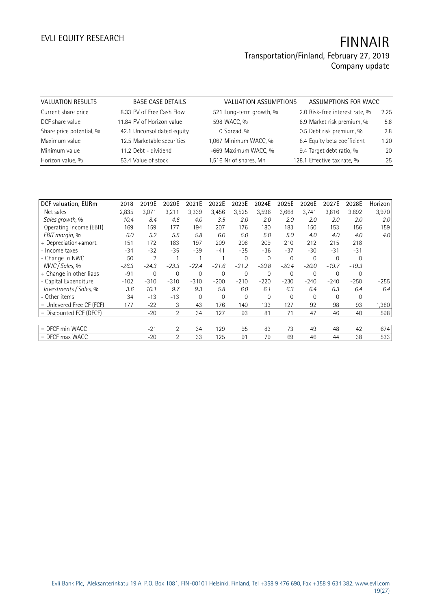| VALUATION RESULTS        | <b>BASE CASE DETAILS</b>   | VALUATION ASSUMPTIONS   | ASSUMPTIONS FOR WACC           |      |
|--------------------------|----------------------------|-------------------------|--------------------------------|------|
| Current share price      | 8.33 PV of Free Cash Flow  | 521 Long-term growth, % | 2.0 Risk-free interest rate, % | 2.25 |
| DCF share value          | 11.84 PV of Horizon value  | 598 WACC, %             | 8.9 Market risk premium, %     | 5.8  |
| Share price potential, % | 42.1 Unconsolidated equity | 0 Spread, %             | 0.5 Debt risk premium, %       | 2.8  |
| Maximum value            | 12.5 Marketable securities | 1,067 Minimum WACC, %   | 8.4 Equity beta coefficient    | 1.20 |
| Minimum value            | 11.2 Debt - dividend       | -669 Maximum WACC, %    | 9.4 Target debt ratio, %       | 20   |
| Horizon value, %         | 53.4 Value of stock        | 1,516 Nr of shares, Mn  | 128.1 Effective tax rate, %    | 25   |

| DCF valuation, EURm         | 2018    | 2019E          | 2020E          | 2021E   | 2022E    | 2023E    | 2024E        | 2025E    | 2026E          | 2027E    | 2028E    | Horizon |
|-----------------------------|---------|----------------|----------------|---------|----------|----------|--------------|----------|----------------|----------|----------|---------|
| Net sales                   | 2,835   | 3,071          | 3,211          | 3,339   | 3,456    | 3,525    | 3,596        | 3,668    | 3,741          | 3,816    | 3,892    | 3,970   |
| Sales growth, %             | 10.4    | 8.4            | 4.6            | 4.0     | 3.5      | 2.0      | 2.0          | 2.0      | 2.0            | 2.0      | 2.0      | 2.0     |
| Operating income (EBIT)     | 169     | 159            | 177            | 194     | 207      | 176      | 180          | 183      | 150            | 153      | 156      | 159     |
| EBIT margin, %              | 6.0     | 5.2            | 5.5            | 5.8     | 6.0      | 5.0      | 5.0          | 5.0      | 4.0            | 4.0      | 4.0      | 4.0     |
| + Depreciation+amort.       | 151     | 172            | 183            | 197     | 209      | 208      | 209          | 210      | 212            | 215      | 218      |         |
| - Income taxes              | $-34$   | $-32$          | $-35$          | $-39$   | $-41$    | $-35$    | $-36$        | $-37$    | $-30$          | $-31$    | $-31$    |         |
| - Change in NWC             | 50      | $\overline{2}$ |                |         |          | $\Omega$ | $\Omega$     | $\Omega$ | $\overline{0}$ | $\Omega$ | $\Omega$ |         |
| NWC / Sales, %              | $-26.3$ | $-24.3$        | $-23.3$        | $-22.4$ | $-21.6$  | $-21.2$  | $-20.8$      | $-20.4$  | $-20.0$        | $-19.7$  | $-19.3$  |         |
| + Change in other liabs     | $-91$   | 0              | $\overline{0}$ | 0       | $\Omega$ | $\Omega$ | $\mathbf{0}$ | 0        | $\overline{0}$ | $\Omega$ | 0        |         |
| - Capital Expenditure       | $-102$  | $-310$         | $-310$         | $-310$  | $-200$   | $-210$   | $-220$       | $-230$   | $-240$         | $-240$   | $-250$   | $-255$  |
| Investments / Sales, %      | 3.6     | 10.1           | 9.7            | 9.3     | 5.8      | 6.0      | 6.1          | 6.3      | 6.4            | 6.3      | 6.4      | 6.4     |
| - Other items               | 34      | $-13$          | $-13$          | 0       | $\Omega$ | $\Omega$ | 0            | $\Omega$ | $\Omega$       | $\Omega$ | 0        |         |
| $=$ Unlevered Free CF (FCF) | 177     | $-22$          | 3              | 43      | 176      | 140      | 133          | 127      | 92             | 98       | 93       | 1,380   |
| = Discounted FCF (DFCF)     |         | $-20$          | $\overline{2}$ | 34      | 127      | 93       | 81           | 71       | 47             | 46       | 40       | 598     |
|                             |         |                |                |         |          |          |              |          |                |          |          |         |
| $=$ DFCF min WACC           |         | $-21$          | $\overline{2}$ | 34      | 129      | 95       | 83           | 73       | 49             | 48       | 42       | 674     |
| $=$ DFCF max WACC           |         | $-20$          | $\overline{2}$ | 33      | 125      | 91       | 79           | 69       | 46             | 44       | 38       | 533     |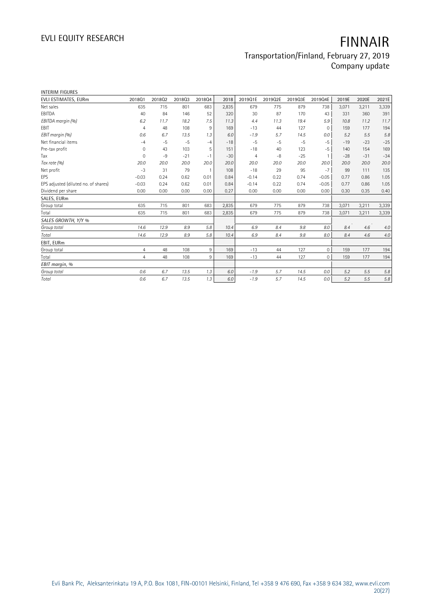# **EVLI EQUITY RESEARCH FINNAIR**

#### **Transportation/Finland, February 27, 2019 Company update**

| <b>INTERIM FIGURES</b>               |                |        |        |                |       |                |         |         |              |       |       |         |
|--------------------------------------|----------------|--------|--------|----------------|-------|----------------|---------|---------|--------------|-------|-------|---------|
| EVLI ESTIMATES, EURm                 | 2018Q1         | 201802 | 201803 | 201804         | 2018  | 2019Q1E        | 2019Q2E | 2019Q3E | 2019Q4E      | 2019E | 2020E | 2021E   |
| Net sales                            | 635            | 715    | 801    | 683            | 2,835 | 679            | 775     | 879     | 738          | 3,071 | 3,211 | 3,339   |
| EBITDA                               | 40             | 84     | 146    | 52             | 320   | 30             | 87      | 170     | 43           | 331   | 360   | 391     |
| EBITDA margin (%)                    | 6.2            | 11.7   | 18.2   | 7.5            | 11.3  | 4.4            | 11.3    | 19.4    | 5.9          | 10.8  | 11.2  | 11.7    |
| EBIT                                 | $\overline{4}$ | 48     | 108    | 9              | 169   | $-13$          | 44      | 127     | $\mathbf 0$  | 159   | 177   | 194     |
| EBIT margin (%)                      | 0.6            | 6.7    | 13.5   | 1.3            | 6.0   | $-1.9$         | 5.7     | 14.5    | 0.0          | 5.2   | 5.5   | 5.8     |
| Net financial items                  | $-4$           | $-5$   | $-5$   | $-4$           | $-18$ | $-5$           | $-5$    | $-5$    | $-5$         | $-19$ | $-23$ | $-25$   |
| Pre-tax profit                       | 0              | 43     | 103    | 5              | 151   | $-18$          | 40      | 123     | $-5$         | 140   | 154   | 169     |
| Tax                                  | $\Omega$       | $-9$   | $-21$  | $-1$           | $-30$ | $\overline{4}$ | $-8$    | $-25$   | $\mathbf{1}$ | $-28$ | $-31$ | $-34$   |
| Tax rate (%)                         | 20.0           | 20.0   | 20.0   | 20.0           | 20.0  | 20.0           | 20.0    | 20.0    | 20.0         | 20.0  | 20.0  | 20.0    |
| Net profit                           | $-3$           | 31     | 79     | $\overline{1}$ | 108   | $-18$          | 29      | 95      | $-7$         | 99    | 111   | 135     |
| EPS                                  | $-0.03$        | 0.24   | 0.62   | 0.01           | 0.84  | $-0.14$        | 0.22    | 0.74    | $-0.05$      | 0.77  | 0.86  | 1.05    |
| EPS adjusted (diluted no. of shares) | $-0.03$        | 0.24   | 0.62   | 0.01           | 0.84  | $-0.14$        | 0.22    | 0.74    | $-0.05$      | 0.77  | 0.86  | 1.05    |
| Dividend per share                   | 0.00           | 0.00   | 0.00   | 0.00           | 0.27  | 0.00           | 0.00    | 0.00    | 0.00         | 0.30  | 0.35  | 0.40    |
| SALES, EURm                          |                |        |        |                |       |                |         |         |              |       |       |         |
| Group total                          | 635            | 715    | 801    | 683            | 2,835 | 679            | 775     | 879     | 738          | 3,071 | 3,211 | 3,339   |
| Total                                | 635            | 715    | 801    | 683            | 2,835 | 679            | 775     | 879     | 738          | 3,071 | 3,211 | 3,339   |
| SALES GROWTH, Y/Y %                  |                |        |        |                |       |                |         |         |              |       |       |         |
| Group total                          | 14.6           | 12.9   | 8.9    | 5.8            | 10.4  | 6.9            | 8.4     | 9.8     | 8.0          | 8.4   | 4.6   | 4.0     |
| Total                                | 14.6           | 12.9   | 8.9    | 5.8            | 10.4  | 6.9            | 8.4     | 9.8     | 8.0          | 8.4   | 4.6   | 4.0     |
| EBIT, EURm                           |                |        |        |                |       |                |         |         |              |       |       |         |
| Group total                          | 4              | 48     | 108    | 9              | 169   | $-13$          | 44      | 127     | $\Omega$     | 159   | 177   | 194     |
| Total                                | $\overline{4}$ | 48     | 108    | 9              | 169   | $-13$          | 44      | 127     | $\Omega$     | 159   | 177   | 194     |
| EBIT margin, %                       |                |        |        |                |       |                |         |         |              |       |       |         |
| Group total                          | 0.6            | 6.7    | 13.5   | 1.3            | 6.0   | $-1.9$         | 5.7     | 14.5    | 0.0          | 5.2   | 5.5   | 5.8     |
| Total                                | 0.6            | 6.7    | 13.5   | 1.3            | 6.0   | $-1.9$         | 5.7     | 14.5    | 0.0          | 5.2   | 5.5   | $5.8\,$ |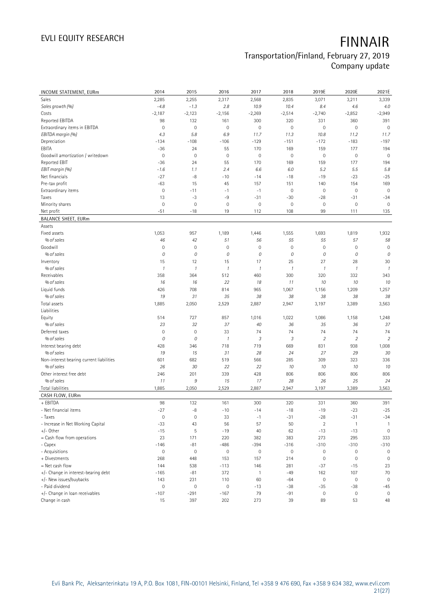# **EVLI EQUITY RESEARCH FINNAIR**

#### **Transportation/Finland, February 27, 2019 Company update**

| INCOME STATEMENT, EURm                   | 2014                | 2015          | 2016                | 2017          | 2018                | 2019E               | 2020E          | 2021E          |
|------------------------------------------|---------------------|---------------|---------------------|---------------|---------------------|---------------------|----------------|----------------|
| Sales                                    | 2,285               | 2,255         | 2,317               | 2,568         | 2,835               | 3,071               | 3,211          | 3,339          |
| Sales growth (%)                         | $-4.8$              | $-1.3$        | 2.8                 | 10.9          | 10.4                | 8.4                 | 4.6            | 4.0            |
| Costs                                    | $-2,187$            | $-2,123$      | $-2,156$            | $-2,269$      | $-2,514$            | $-2,740$            | $-2,852$       | $-2,949$       |
| Reported EBITDA                          | 98                  | 132           | 161                 | 300           | 320                 | 331                 | 360            | 391            |
| Extraordinary items in EBITDA            | $\mathsf{O}\xspace$ | $\mathbf 0$   | $\mathsf{O}\xspace$ | $\mathbf 0$   | $\mathbf 0$         | $\mathsf{O}\xspace$ | $\mathbf 0$    | $\mathbf 0$    |
| EBITDA margin (%)                        | 4.3                 | 5.8           | 6.9                 | 11.7          | 11.3                | 10.8                | 11.2           | 11.7           |
| Depreciation                             | $-134$              | $-108$        | $-106$              | $-129$        | $-151$              | $-172$              | $-183$         | $-197$         |
| EBITA                                    | $-36$               | 24            | 55                  | 170           | 169                 | 159                 | 177            | 194            |
| Goodwill amortization / writedown        | 0                   | $\mathbf 0$   | $\mathbf 0$         | $\mathbf 0$   | $\mathbf 0$         | $\mathsf{O}\xspace$ | $\mathbf 0$    | $\mathbf 0$    |
| Reported EBIT                            | $-36$               | 24            | 55                  | 170           | 169                 | 159                 | 177            | 194            |
| EBIT margin (%)                          | $-1.6$              | 1.1           | 2.4                 | 6.6           | 6.0                 | 5.2                 | 5.5            | 5.8            |
| Net financials                           | $-27$               | $-8$          | $-10$               | $-14$         | $-18$               | $-19$               | $-23$          | $-25$          |
| Pre-tax profit                           | $-63$               | 15            | 45                  | 157           | 151                 | 140                 | 154            | 169            |
| Extraordinary items                      | $\mathsf{O}\xspace$ | $-11$         | $-1$                | $-1$          | $\mathbf 0$         | $\mathsf{O}\xspace$ | $\mathbf 0$    | $\mathbf 0$    |
| Taxes                                    | 13                  | $-3$          | -9                  | $-31$         | $-30$               | $-28$               | $-31$          | $-34$          |
| Minority shares                          | 0                   | $\mathbf 0$   | $\mathbf 0$         | $\mathbb O$   | $\mathsf{O}\xspace$ | $\mathbb O$         | $\mathbb O$    | $\mathbf 0$    |
| Net profit                               | $-51$               | $-18$         | 19                  | 112           | 108                 | 99                  | 111            | 135            |
| <b>BALANCE SHEET, EURm</b>               |                     |               |                     |               |                     |                     |                |                |
| Assets                                   |                     |               |                     |               |                     |                     |                |                |
| Fixed assets                             | 1,053               | 957           | 1,189               | 1,446         | 1,555               | 1,693               | 1,819          | 1,932          |
| % of sales                               | 46                  | 42            | 51                  | 56            | 55                  | 55                  | 57             | 58             |
| Goodwill                                 | $\mathsf{O}\xspace$ | $\mathbf 0$   | $\mathbf 0$         | $\mathbf 0$   | $\mathbf 0$         | $\mathsf{O}\xspace$ | $\mathbf 0$    | $\mathbf 0$    |
| % of sales                               | 0                   | 0             | 0                   | 0             | 0                   | 0                   | 0              | $\cal O$       |
| Inventory                                | 15                  | 12            | 15                  | 17            | 25                  | 27                  | 28             | 30             |
| % of sales                               | $\mathcal{I}$       | $\mathcal{I}$ | $\mathcal{I}$       | $\mathcal{I}$ | $\mathcal{I}$       | 1                   | $\mathcal{I}$  | $\mathcal{I}$  |
| Receivables                              | 358                 | 364           | 512                 | 460           | 300                 | 320                 | 332            | 343            |
| % of sales                               | 16                  | 16            | 22                  | 18            | 11                  | 10                  | 10             | 10             |
| Liquid funds                             | 426                 | 708           | 814                 | 965           | 1,067               | 1,156               | 1,209          | 1,257          |
| % of sales                               | 19                  | 31            | 35                  | 38            | 38                  | 38                  | 38             | 38             |
| Total assets                             | 1,885               | 2,050         | 2,529               | 2,887         | 2,947               | 3,197               | 3,389          | 3,563          |
| Liabilities                              |                     |               |                     |               |                     |                     |                |                |
| Equity                                   | 514                 | 727           | 857                 | 1,016         | 1,022               | 1,086               | 1,158          | 1,248          |
| % of sales                               | 23                  | 32            | 37                  | 40            | 36                  | 35                  | 36             | 37             |
| Deferred taxes                           | $\mathsf{O}\xspace$ | $\mathbf 0$   | 33                  | 74            | 74                  | 74                  | 74             | 74             |
| % of sales                               | 0                   | 0             | $\mathcal{I}$       | 3             | 3                   | $\overline{2}$      | $\overline{2}$ | $\overline{2}$ |
| Interest bearing debt                    | 428                 | 346           | 718                 | 719           | 669                 | 831                 | 938            | 1,008          |
| % of sales                               | 19                  | 15            | 31                  | 28            | 24                  | 27                  | 29             | 30             |
| Non-interest bearing current liabilities | 601                 | 682           | 519                 | 566           | 285                 | 309                 | 323            | 336            |
| % of sales                               | 26                  | 30            | 22                  | 22            | 10                  | 10                  | 10             | 10             |
| Other interest free debt                 | 246                 | 201           | 339                 | 428           | 806                 | 806                 | 806            | 806            |
| % of sales                               | 11                  | 9             | 15                  | 17            | 28                  | 26                  | 25             | 24             |
| <b>Total liabilities</b>                 | 1,885               | 2,050         | 2,529               | 2,887         | 2,947               | 3,197               | 3,389          | 3,563          |
| CASH FLOW, EURm                          |                     |               |                     |               |                     |                     |                |                |
| + EBITDA                                 | 98                  | 132           | 161                 | 300           | 320                 | 331                 | 360            | 391            |
| - Net financial items                    | $-27$               | $-8$          | $-10$               | $-14$         | $-18$               | $-19$               | $-23$          | $-25$          |
| - Taxes                                  | 0                   | $\mathbf 0$   | 33                  | $-1$          | $-31$               | $-28$               | $-31$          | $-34$          |
| - Increase in Net Working Capital        | $-33$               | 43            | 56                  | 57            | 50                  | $\sqrt{2}$          | $\mathbf{1}$   | $\overline{1}$ |
| $+/-$ Other                              | $-15$               | $\mathsf S$   | $-19$               | 40            | 62                  | $-13$               | $-13$          | $\mathbf 0$    |
| = Cash flow from operations              | 23                  | 171           | 220                 | 382           | 383                 | 273                 | 295            | 333            |
| - Capex                                  | $-146$              | $-81$         | $-486$              | $-394$        | $-316$              | $-310$              | $-310$         | $-310$         |
| - Acquisitions                           | 0                   | $\mathbb O$   | $\mathsf{O}\xspace$ | $\mathbb O$   | $\mathsf{O}\xspace$ | $\mathbb O$         | $\bf 0$        | $\mathbb O$    |
| + Divestments                            | 268                 | 448           | 153                 | 157           | 214                 | $\mathsf{O}\xspace$ | $\mathbf 0$    | $\mathbf 0$    |
| $=$ Net cash flow                        | 144                 | 538           | $-113$              | 146           | 281                 | $-37$               | $-15$          | 23             |
| +/- Change in interest-bearing debt      | $-165$              | $-81$         | 372                 | $\mathbf{1}$  | $-49$               | 162                 | 107            | 70             |
| +/- New issues/buybacks                  | 143                 | 231           | 110                 | 60            | $-64$               | $\mathbb O$         | $\mathbf 0$    | $\mathbf 0$    |
| - Paid dividend                          | 0                   | $\mathbf 0$   | $\mathsf{O}\xspace$ | $-13$         | $-38$               | $-35$               | $-38$          | $-45$          |
| +/- Change in loan receivables           | $-107$              | $-291$        | $-167$              | 79            | $-91$               | $\mathbb O$         | $\mathbb O$    | $\mathbf 0$    |
| Change in cash                           | 15                  | 397           | 202                 | 273           | 39                  | 89                  | 53             | 48             |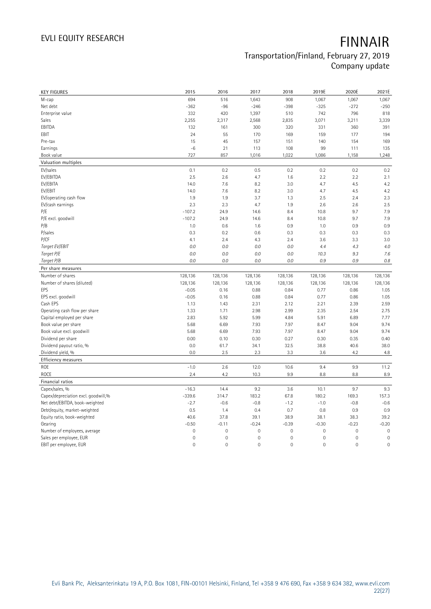| 694<br>516<br>1,643<br>908<br>1,067<br>1,067<br>M-cap<br>Net debt<br>$-362$<br>$-96$<br>$-246$<br>$-398$<br>$-325$<br>$-272$<br>Enterprise value<br>332<br>420<br>1,397<br>510<br>742<br>796<br>Sales<br>2,255<br>2,317<br>2,568<br>2,835<br>3,071<br>3,211<br>EBITDA<br>132<br>161<br>300<br>320<br>331<br>360<br>24<br>EBIT<br>55<br>170<br>169<br>159<br>177<br>45<br>157<br>154<br>Pre-tax<br>15<br>151<br>140<br>$-6$<br>21<br>99<br>Earnings<br>113<br>108<br>111<br>727<br>Book value<br>857<br>1,016<br>1,022<br>1,086<br>1,158<br>Valuation multiples<br>EV/sales<br>0.1<br>0.2<br>0.5<br>0.2<br>0.2<br>0.2<br>EV/EBITDA<br>2.5<br>2.6<br>4.7<br>2.2<br>1.6<br>2.2<br>EV/EBITA<br>7.6<br>14.0<br>8.2<br>3.0<br>4.7<br>4.5<br>EV/EBIT<br>14.0<br>7.6<br>8.2<br>3.0<br>4.7<br>4.5<br>EV/operating cash flow<br>1.9<br>1.9<br>3.7<br>1.3<br>2.5<br>2.4<br>EV/cash earnings<br>2.3<br>2.3<br>4.7<br>1.9<br>2.6<br>2.6<br>$-107.2$<br>9.7<br>P/E<br>24.9<br>14.6<br>8.4<br>10.8<br>P/E excl. goodwill<br>$-107.2$<br>9.7<br>24.9<br>14.6<br>8.4<br>10.8<br>P/B<br>1.0<br>0.6<br>1.6<br>0.9<br>1.0<br>0.9 | 1,067<br>$-250$<br>818<br>3,339<br>391<br>194<br>169<br>135<br>1,248<br>0.2<br>2.1<br>4.2<br>4.2<br>2.3<br>2.5 |
|--------------------------------------------------------------------------------------------------------------------------------------------------------------------------------------------------------------------------------------------------------------------------------------------------------------------------------------------------------------------------------------------------------------------------------------------------------------------------------------------------------------------------------------------------------------------------------------------------------------------------------------------------------------------------------------------------------------------------------------------------------------------------------------------------------------------------------------------------------------------------------------------------------------------------------------------------------------------------------------------------------------------------------------------------------------------------------------------------------------|----------------------------------------------------------------------------------------------------------------|
|                                                                                                                                                                                                                                                                                                                                                                                                                                                                                                                                                                                                                                                                                                                                                                                                                                                                                                                                                                                                                                                                                                              |                                                                                                                |
|                                                                                                                                                                                                                                                                                                                                                                                                                                                                                                                                                                                                                                                                                                                                                                                                                                                                                                                                                                                                                                                                                                              |                                                                                                                |
|                                                                                                                                                                                                                                                                                                                                                                                                                                                                                                                                                                                                                                                                                                                                                                                                                                                                                                                                                                                                                                                                                                              |                                                                                                                |
|                                                                                                                                                                                                                                                                                                                                                                                                                                                                                                                                                                                                                                                                                                                                                                                                                                                                                                                                                                                                                                                                                                              |                                                                                                                |
|                                                                                                                                                                                                                                                                                                                                                                                                                                                                                                                                                                                                                                                                                                                                                                                                                                                                                                                                                                                                                                                                                                              |                                                                                                                |
|                                                                                                                                                                                                                                                                                                                                                                                                                                                                                                                                                                                                                                                                                                                                                                                                                                                                                                                                                                                                                                                                                                              |                                                                                                                |
|                                                                                                                                                                                                                                                                                                                                                                                                                                                                                                                                                                                                                                                                                                                                                                                                                                                                                                                                                                                                                                                                                                              |                                                                                                                |
|                                                                                                                                                                                                                                                                                                                                                                                                                                                                                                                                                                                                                                                                                                                                                                                                                                                                                                                                                                                                                                                                                                              |                                                                                                                |
|                                                                                                                                                                                                                                                                                                                                                                                                                                                                                                                                                                                                                                                                                                                                                                                                                                                                                                                                                                                                                                                                                                              |                                                                                                                |
|                                                                                                                                                                                                                                                                                                                                                                                                                                                                                                                                                                                                                                                                                                                                                                                                                                                                                                                                                                                                                                                                                                              |                                                                                                                |
|                                                                                                                                                                                                                                                                                                                                                                                                                                                                                                                                                                                                                                                                                                                                                                                                                                                                                                                                                                                                                                                                                                              |                                                                                                                |
|                                                                                                                                                                                                                                                                                                                                                                                                                                                                                                                                                                                                                                                                                                                                                                                                                                                                                                                                                                                                                                                                                                              |                                                                                                                |
|                                                                                                                                                                                                                                                                                                                                                                                                                                                                                                                                                                                                                                                                                                                                                                                                                                                                                                                                                                                                                                                                                                              |                                                                                                                |
|                                                                                                                                                                                                                                                                                                                                                                                                                                                                                                                                                                                                                                                                                                                                                                                                                                                                                                                                                                                                                                                                                                              |                                                                                                                |
|                                                                                                                                                                                                                                                                                                                                                                                                                                                                                                                                                                                                                                                                                                                                                                                                                                                                                                                                                                                                                                                                                                              |                                                                                                                |
|                                                                                                                                                                                                                                                                                                                                                                                                                                                                                                                                                                                                                                                                                                                                                                                                                                                                                                                                                                                                                                                                                                              |                                                                                                                |
|                                                                                                                                                                                                                                                                                                                                                                                                                                                                                                                                                                                                                                                                                                                                                                                                                                                                                                                                                                                                                                                                                                              | 7.9                                                                                                            |
|                                                                                                                                                                                                                                                                                                                                                                                                                                                                                                                                                                                                                                                                                                                                                                                                                                                                                                                                                                                                                                                                                                              | 7.9                                                                                                            |
|                                                                                                                                                                                                                                                                                                                                                                                                                                                                                                                                                                                                                                                                                                                                                                                                                                                                                                                                                                                                                                                                                                              | 0.9                                                                                                            |
| 0.3<br>P/sales<br>0.2<br>0.6<br>0.3<br>0.3<br>0.3                                                                                                                                                                                                                                                                                                                                                                                                                                                                                                                                                                                                                                                                                                                                                                                                                                                                                                                                                                                                                                                            | 0.3                                                                                                            |
| P/CF<br>4.1<br>2.4<br>4.3<br>2.4<br>3.3<br>3.6                                                                                                                                                                                                                                                                                                                                                                                                                                                                                                                                                                                                                                                                                                                                                                                                                                                                                                                                                                                                                                                               | 3.0                                                                                                            |
| Target EV/EBIT<br>0.0<br>0.0<br>0.0<br>0.0<br>4.4<br>4.3                                                                                                                                                                                                                                                                                                                                                                                                                                                                                                                                                                                                                                                                                                                                                                                                                                                                                                                                                                                                                                                     | 4.0                                                                                                            |
| Target P/E<br>0.0<br>0.0<br>$0.0\,$<br>0.0<br>10.3<br>9.3                                                                                                                                                                                                                                                                                                                                                                                                                                                                                                                                                                                                                                                                                                                                                                                                                                                                                                                                                                                                                                                    | 7.6                                                                                                            |
| $0.9\,$<br>Target P/B<br>0.0<br>0.0<br>$0.0\,$<br>0.0<br>0.9                                                                                                                                                                                                                                                                                                                                                                                                                                                                                                                                                                                                                                                                                                                                                                                                                                                                                                                                                                                                                                                 | 0.8                                                                                                            |
| Per share measures                                                                                                                                                                                                                                                                                                                                                                                                                                                                                                                                                                                                                                                                                                                                                                                                                                                                                                                                                                                                                                                                                           |                                                                                                                |
| Number of shares<br>128,136<br>128,136<br>128,136<br>128,136<br>128,136<br>128,136                                                                                                                                                                                                                                                                                                                                                                                                                                                                                                                                                                                                                                                                                                                                                                                                                                                                                                                                                                                                                           | 128,136                                                                                                        |
| Number of shares (diluted)<br>128,136<br>128,136<br>128,136<br>128,136<br>128,136<br>128,136                                                                                                                                                                                                                                                                                                                                                                                                                                                                                                                                                                                                                                                                                                                                                                                                                                                                                                                                                                                                                 | 128,136                                                                                                        |
| EPS<br>$-0.05$<br>0.16<br>0.88<br>0.84<br>0.77<br>0.86                                                                                                                                                                                                                                                                                                                                                                                                                                                                                                                                                                                                                                                                                                                                                                                                                                                                                                                                                                                                                                                       | 1.05                                                                                                           |
| $-0.05$<br>EPS excl. goodwill<br>0.16<br>0.88<br>0.84<br>0.77<br>0.86                                                                                                                                                                                                                                                                                                                                                                                                                                                                                                                                                                                                                                                                                                                                                                                                                                                                                                                                                                                                                                        | 1.05                                                                                                           |
| Cash EPS<br>1.13<br>1.43<br>2.31<br>2.21<br>2.39<br>2.12                                                                                                                                                                                                                                                                                                                                                                                                                                                                                                                                                                                                                                                                                                                                                                                                                                                                                                                                                                                                                                                     | 2.59                                                                                                           |
| Operating cash flow per share<br>1.71<br>2.98<br>2.99<br>2.35<br>2.54<br>1.33                                                                                                                                                                                                                                                                                                                                                                                                                                                                                                                                                                                                                                                                                                                                                                                                                                                                                                                                                                                                                                | 2.75                                                                                                           |
| Capital employed per share<br>5.92<br>5.99<br>4.84<br>5.91<br>2.83<br>6.89                                                                                                                                                                                                                                                                                                                                                                                                                                                                                                                                                                                                                                                                                                                                                                                                                                                                                                                                                                                                                                   | 7.77                                                                                                           |
| 6.69<br>7.93<br>8.47<br>Book value per share<br>5.68<br>7.97<br>9.04                                                                                                                                                                                                                                                                                                                                                                                                                                                                                                                                                                                                                                                                                                                                                                                                                                                                                                                                                                                                                                         | 9.74                                                                                                           |
| Book value excl. goodwill<br>5.68<br>6.69<br>7.93<br>7.97<br>8.47<br>9.04                                                                                                                                                                                                                                                                                                                                                                                                                                                                                                                                                                                                                                                                                                                                                                                                                                                                                                                                                                                                                                    | 9.74                                                                                                           |
| Dividend per share<br>0.00<br>0.10<br>0.30<br>0.27<br>0.30<br>0.35                                                                                                                                                                                                                                                                                                                                                                                                                                                                                                                                                                                                                                                                                                                                                                                                                                                                                                                                                                                                                                           | 0.40                                                                                                           |
| Dividend payout ratio, %<br>0.0<br>61.7<br>34.1<br>32.5<br>38.8<br>40.6                                                                                                                                                                                                                                                                                                                                                                                                                                                                                                                                                                                                                                                                                                                                                                                                                                                                                                                                                                                                                                      | 38.0                                                                                                           |
| Dividend yield, %<br>0.0<br>2.5<br>2.3<br>3.3<br>3.6<br>4.2                                                                                                                                                                                                                                                                                                                                                                                                                                                                                                                                                                                                                                                                                                                                                                                                                                                                                                                                                                                                                                                  | 4.8                                                                                                            |
| <b>Efficiency measures</b>                                                                                                                                                                                                                                                                                                                                                                                                                                                                                                                                                                                                                                                                                                                                                                                                                                                                                                                                                                                                                                                                                   |                                                                                                                |
|                                                                                                                                                                                                                                                                                                                                                                                                                                                                                                                                                                                                                                                                                                                                                                                                                                                                                                                                                                                                                                                                                                              | 11.2                                                                                                           |
| $-1.0$<br>ROE<br>2.6<br>12.0<br>10.6<br>9.4<br>9.9                                                                                                                                                                                                                                                                                                                                                                                                                                                                                                                                                                                                                                                                                                                                                                                                                                                                                                                                                                                                                                                           |                                                                                                                |
| ROCE<br>2.4<br>4.2<br>10.3<br>9.9<br>8.8<br>8.8                                                                                                                                                                                                                                                                                                                                                                                                                                                                                                                                                                                                                                                                                                                                                                                                                                                                                                                                                                                                                                                              | 8.9                                                                                                            |
| Financial ratios                                                                                                                                                                                                                                                                                                                                                                                                                                                                                                                                                                                                                                                                                                                                                                                                                                                                                                                                                                                                                                                                                             |                                                                                                                |
| Capex/sales, %<br>14.4<br>9.2<br>3.6<br>9.7<br>$-16.3$<br>10.1                                                                                                                                                                                                                                                                                                                                                                                                                                                                                                                                                                                                                                                                                                                                                                                                                                                                                                                                                                                                                                               | 9.3                                                                                                            |
| Capex/depreciation excl. goodwill,%<br>$-339.6$<br>314.7<br>183.2<br>67.8<br>180.2<br>169.3                                                                                                                                                                                                                                                                                                                                                                                                                                                                                                                                                                                                                                                                                                                                                                                                                                                                                                                                                                                                                  | 157.3                                                                                                          |
| Net debt/EBITDA, book-weighted<br>$-2.7$<br>$-0.6$<br>$-0.8$<br>$-1.2$<br>$-1.0$<br>$-0.8$                                                                                                                                                                                                                                                                                                                                                                                                                                                                                                                                                                                                                                                                                                                                                                                                                                                                                                                                                                                                                   | $-0.6$                                                                                                         |
| 0.7<br>Debt/equity, market-weighted<br>0.5<br>1.4<br>0.4<br>0.8<br>0.9                                                                                                                                                                                                                                                                                                                                                                                                                                                                                                                                                                                                                                                                                                                                                                                                                                                                                                                                                                                                                                       | 0.9                                                                                                            |
| Equity ratio, book-weighted<br>40.6<br>37.8<br>39.1<br>38.9<br>38.1<br>38.3                                                                                                                                                                                                                                                                                                                                                                                                                                                                                                                                                                                                                                                                                                                                                                                                                                                                                                                                                                                                                                  | 39.2                                                                                                           |
| $-0.23$<br>$-0.50$<br>$-0.11$<br>$-0.24$<br>$-0.39$<br>$-0.30$<br>Gearing                                                                                                                                                                                                                                                                                                                                                                                                                                                                                                                                                                                                                                                                                                                                                                                                                                                                                                                                                                                                                                    | $-0.20$                                                                                                        |
| $\mathbf 0$<br>$\mathsf{O}\xspace$<br>$\mathbf 0$<br>$\mathbf 0$<br>$\mathsf{O}\xspace$<br>$\mathbf 0$<br>Number of employees, average                                                                                                                                                                                                                                                                                                                                                                                                                                                                                                                                                                                                                                                                                                                                                                                                                                                                                                                                                                       | $\mathbf 0$                                                                                                    |
| $\mathbf 0$<br>$\mathsf{O}\xspace$<br>$\mathbf 0$<br>$\mathbf 0$<br>0<br>$\mathbf 0$<br>Sales per employee, EUR<br>$\mathsf{O}\xspace$<br>$\mathbf 0$<br>$\mathbf 0$<br>0<br>$\mathbf 0$<br>EBIT per employee, EUR<br>0                                                                                                                                                                                                                                                                                                                                                                                                                                                                                                                                                                                                                                                                                                                                                                                                                                                                                      | $\mathbf 0$<br>$\mathsf{O}\xspace$                                                                             |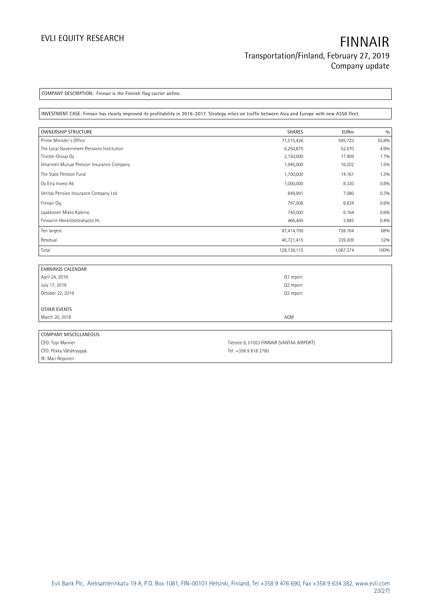**COMPANY DESCRIPTION: Finnair is the Finnish flag carrier airline.**

**INVESTMENT CASE: Finnair has clearly improved its profitability in 2016-2017. Strategy relies on traffic between Asia and Europe with new A350 fleet.**

| <b>OWNERSHIP STRUCTURE</b>                 | <b>SHARES</b> | <b>EURm</b> | 0/0   |
|--------------------------------------------|---------------|-------------|-------|
| Prime Minister's Office                    | 71,515,426    | 595.723     | 55.8% |
| The Local Government Pensions Institution  | 6,250,875     | 52,070      | 4.9%  |
| Tiiviste-Group Oy                          | 2,150,000     | 17.909      | 1.7%  |
| Ilmarinen Mutual Pension Insurance Company | 1,945,000     | 16.202      | 1.5%  |
| The State Pension Fund                     | 1,700,000     | 14.161      | 1.3%  |
| Oy Etra Invest Ab                          | 1,000,000     | 8.330       | 0.8%  |
| Veritas Pension Insurance Company Ltd.     | 849,991       | 7.080       | 0.7%  |
| Finnair Ovi                                | 797,008       | 6.639       | 0.6%  |
| Laakkonen Mikko Kalervo                    | 740,000       | 6.164       | 0.6%  |
| Finnairin Henkilöstörahasto Hr.            | 466,400       | 3.885       | 0.4%  |
| Ten largest                                | 87,414,700    | 728.164     | 68%   |
| Residual                                   | 40,721,415    | 339.209     | 32%   |
| Total                                      | 128,136,115   | 1,067.374   | 100%  |

| EARNINGS CALENDAR     |           |
|-----------------------|-----------|
| April 24, 2019        | Q1 report |
| July 17, 2019         | Q2 report |
| October 22, 2019      | Q3 report |
|                       |           |
| OTHER EVENTS          |           |
| March 20, 2018        | AGM       |
|                       |           |
| COMPANY MISCELLANEOUS |           |
|                       |           |

| CEO: Topi Manner      | Tietotie 9, 01053 FINNAIR (VANTAA AIRPORT) |
|-----------------------|--------------------------------------------|
| CFO: Pekka Vähähyyppä | Tel: +358 9 818 2780                       |
| IR: Mari Reponen      |                                            |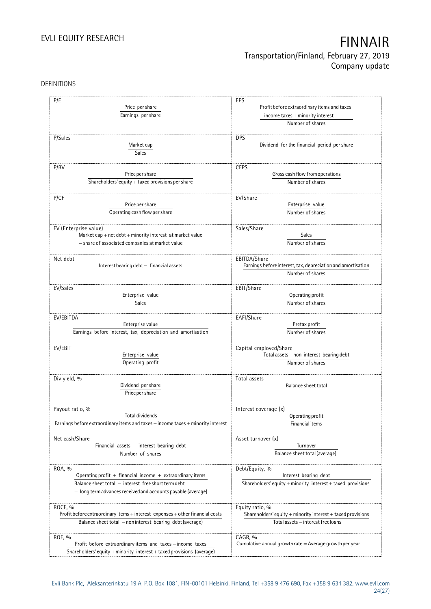#### DEFINITIONS

| P/E<br>Price per share<br>Earnings per share                                       | EPS<br>Profit before extraordinary items and taxes<br>$-$ income taxes $+$ minority interest<br>Number of shares |
|------------------------------------------------------------------------------------|------------------------------------------------------------------------------------------------------------------|
|                                                                                    |                                                                                                                  |
| P/Sales<br>Market cap<br><b>Sales</b>                                              | <b>DPS</b><br>Dividend for the financial period per share                                                        |
|                                                                                    |                                                                                                                  |
| P/BV                                                                               | <b>CEPS</b>                                                                                                      |
| Price per share                                                                    | Gross cash flow from operations                                                                                  |
| Shareholders' equity $+$ taxed provisions per share                                | Number of shares                                                                                                 |
|                                                                                    |                                                                                                                  |
| P/CF                                                                               | EV/Share                                                                                                         |
| Price per share                                                                    | Enterprise value                                                                                                 |
| Operating cash flow per share                                                      | Number of shares                                                                                                 |
|                                                                                    |                                                                                                                  |
| EV (Enterprise value)<br>Market cap + net debt + minority interest at market value | Sales/Share<br>Sales                                                                                             |
|                                                                                    |                                                                                                                  |
| - share of associated companies at market value                                    | Number of shares                                                                                                 |
| Net debt                                                                           | EBITDA/Share                                                                                                     |
| Interest bearing debt - financial assets                                           |                                                                                                                  |
|                                                                                    | Earnings before interest, tax, depreciation and amortisation<br>Number of shares                                 |
|                                                                                    |                                                                                                                  |
| EV/Sales                                                                           | EBIT/Share                                                                                                       |
| Enterprise value                                                                   | Operating profit                                                                                                 |
| <b>Sales</b>                                                                       | Number of shares                                                                                                 |
|                                                                                    |                                                                                                                  |
| EV/EBITDA                                                                          | EAFI/Share                                                                                                       |
| Enterprise value                                                                   | Pretax profit                                                                                                    |
| Earnings before interest, tax, depreciation and amortisation                       | Number of shares                                                                                                 |
|                                                                                    |                                                                                                                  |
| EV/EBIT                                                                            | Capital employed/Share                                                                                           |
| Enterprise value                                                                   | Total assets - non interest bearing debt                                                                         |
| Operating profit                                                                   | Number of shares                                                                                                 |
|                                                                                    |                                                                                                                  |
| Div yield, %                                                                       | Total assets                                                                                                     |
| Dividend per share                                                                 | <b>Balance sheet total</b>                                                                                       |
| Price per share                                                                    |                                                                                                                  |
|                                                                                    |                                                                                                                  |
| Payout ratio, %                                                                    | Interest coverage (x)                                                                                            |
| Total dividends                                                                    | Operating profit                                                                                                 |
| Earnings before extraordinary items and taxes - income taxes + minority interest   | Financial items                                                                                                  |
|                                                                                    |                                                                                                                  |
| Net cash/Share                                                                     | Asset turnover (x)                                                                                               |
| Financial assets - interest bearing debt                                           | Turnover                                                                                                         |
| Number of shares                                                                   | Balance sheet total (average)                                                                                    |
|                                                                                    |                                                                                                                  |
| ROA, %                                                                             | Debt/Equity, %                                                                                                   |
| Operating profit + financial income + extraordinary items                          | Interest bearing debt                                                                                            |
| Balance sheet total - interest free short term debt                                | Shareholders' equity $+$ minority interest $+$ taxed provisions                                                  |
| - long termadvances received and accounts payable (average)                        |                                                                                                                  |
|                                                                                    |                                                                                                                  |
| ROCE, %                                                                            | Equity ratio, %                                                                                                  |
| Profit before extraordinary items + interest expenses + other financial costs      | Shareholders' equity + minority interest + taxed provisions                                                      |
| Balance sheet total - non interest bearing debt (average)                          | Total assets - interest free loans                                                                               |
|                                                                                    |                                                                                                                  |
| ROE, %                                                                             | CAGR, %                                                                                                          |
| Profit before extraordinary items and taxes - income taxes                         | Cumulative annual growth rate $=$ Average growth per year                                                        |
| Shareholders' equity + minority interest + taxed provisions (average)              |                                                                                                                  |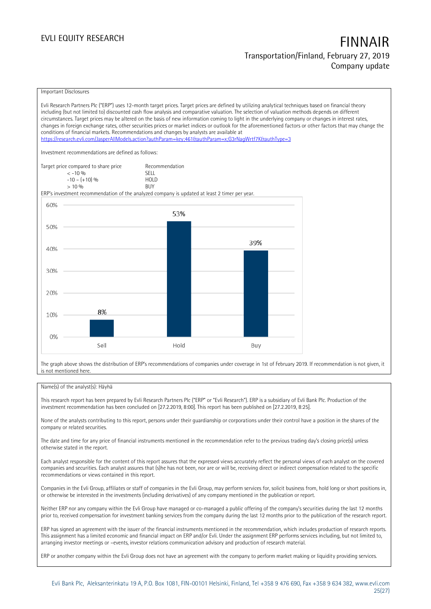#### Important Disclosures

Evli Research Partners Plc ("ERP") uses 12-month target prices. Target prices are defined by utilizing analytical techniques based on financial theory including (but not limited to) discounted cash flow analysis and comparative valuation. The selection of valuation methods depends on different circumstances. Target prices may be altered on the basis of new information coming to light in the underlying company or changes in interest rates, changes in foreign exchange rates, other securities prices or market indices or outlook for the aforementioned factors or other factors that may change the conditions of financial markets. Recommendations and changes by analysts are available at <https://research.evli.com/JasperAllModels.action?authParam=key;461&authParam=x;G3rNagWrtf7K&authType=3> Investment recommendations are defined as follows: Target price compared to share price Recommendation<br>  $\leq -10\%$  SELL  $\langle 5, 10, 10 \rangle$  SELL<br>  $\langle 10, 10, 10 \rangle$  SELL<br>  $\langle 10, 10, 10 \rangle$  $-10 - (+10) \%$  HOLD<br>> 10 % BUY  $> 10\%$ ERP's investment recommendation of the analyzed company is updated at least 2 timer per year. 60% 53% 50% 39% 40% 30% 20% 8% 10% 0% Sell Hold Buy

The graph above shows the distribution of ERP's recommendations of companies under coverage in 1st of February 2019. If recommendation is not given, it is not mentioned here.

#### Name(s) of the analyst(s): Häyhä

This research report has been prepared by Evli Research Partners Plc ("ERP" or "Evli Research"). ERP is a subsidiary of Evli Bank Plc. Production of the investment recommendation has been concluded on [27.2.2019, 8:00]. This report has been published on [27.2.2019, 8:25].

None of the analysts contributing to this report, persons under their guardianship or corporations under their control have a position in the shares of the company or related securities.

The date and time for any price of financial instruments mentioned in the recommendation refer to the previous trading day's closing price(s) unless otherwise stated in the report.

Each analyst responsible for the content of this report assures that the expressed views accurately reflect the personal views of each analyst on the covered companies and securities. Each analyst assures that (s)he has not been, nor are or will be, receiving direct or indirect compensation related to the specific recommendations or views contained in this report.

Companies in the Evli Group, affiliates or staff of companies in the Evli Group, may perform services for, solicit business from, hold long or short positions in, or otherwise be interested in the investments (including derivatives) of any company mentioned in the publication or report.

Neither ERP nor any company within the Evli Group have managed or co-managed a public offering of the company's securities during the last 12 months prior to, received compensation for investment banking services from the company during the last 12 months prior to the publication of the research report.

ERP has signed an agreement with the issuer of the financial instruments mentioned in the recommendation, which includes production of research reports. This assignment has a limited economic and financial impact on ERP and/or Evli. Under the assignment ERP performs services including, but not limited to, arranging investor meetings or –events, investor relations communication advisory and production of research material.

ERP or another company within the Evli Group does not have an agreement with the company to perform market making or liquidity providing services.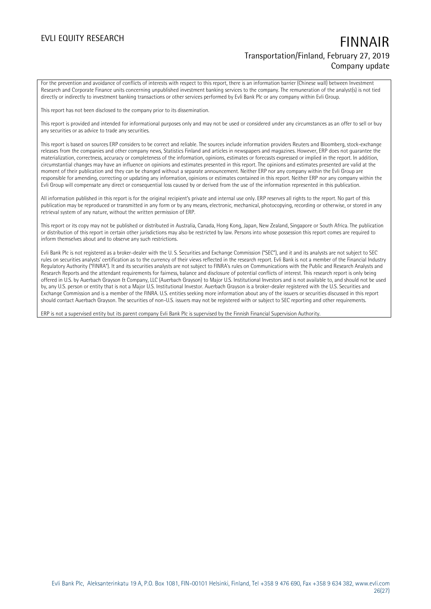For the prevention and avoidance of conflicts of interests with respect to this report, there is an information barrier (Chinese wall) between Investment Research and Corporate Finance units concerning unpublished investment banking services to the company. The remuneration of the analyst(s) is not tied directly or indirectly to investment banking transactions or other services performed by Evli Bank Plc or any company within Evli Group.

This report has not been disclosed to the company prior to its dissemination.

This report is provided and intended for informational purposes only and may not be used or considered under any circumstances as an offer to sell or buy any securities or as advice to trade any securities.

This report is based on sources ERP considers to be correct and reliable. The sources include information providers Reuters and Bloomberg, stock-exchange releases from the companies and other company news, Statistics Finland and articles in newspapers and magazines. However, ERP does not guarantee the materialization, correctness, accuracy or completeness of the information, opinions, estimates or forecasts expressed or implied in the report. In addition, circumstantial changes may have an influence on opinions and estimates presented in this report. The opinions and estimates presented are valid at the moment of their publication and they can be changed without a separate announcement. Neither ERP nor any company within the Evli Group are responsible for amending, correcting or updating any information, opinions or estimates contained in this report. Neither ERP nor any company within the Evli Group will compensate any direct or consequential loss caused by or derived from the use of the information represented in this publication.

All information published in this report is for the original recipient's private and internal use only. ERP reserves all rights to the report. No part of this publication may be reproduced or transmitted in any form or by any means, electronic, mechanical, photocopying, recording or otherwise, or stored in any retrieval system of any nature, without the written permission of ERP.

This report or its copy may not be published or distributed in Australia, Canada, Hong Kong, Japan, New Zealand, Singapore or South Africa. The publication or distribution of this report in certain other jurisdictions may also be restricted by law. Persons into whose possession this report comes are required to inform themselves about and to observe any such restrictions.

Evli Bank Plc is not registered as a broker-dealer with the U. S. Securities and Exchange Commission ("SEC"), and it and its analysts are not subject to SEC rules on securities analysts' certification as to the currency of their views reflected in the research report. Evli Bank is not a member of the Financial Industry Regulatory Authority ("FINRA"). It and its securities analysts are not subject to FINRA's rules on Communications with the Public and Research Analysts and Research Reports and the attendant requirements for fairness, balance and disclosure of potential conflicts of interest. This research report is only being offered in U.S. by Auerbach Grayson & Company, LLC (Auerbach Grayson) to Major U.S. Institutional Investors and is not available to, and should not be used by, any U.S. person or entity that is not a Major U.S. Institutional Investor. Auerbach Grayson is a broker-dealer registered with the U.S. Securities and Exchange Commission and is a member of the FINRA. U.S. entities seeking more information about any of the issuers or securities discussed in this report should contact Auerbach Grayson. The securities of non-U.S. issuers may not be registered with or subject to SEC reporting and other requirements.

ERP is not a supervised entity but its parent company Evli Bank Plc is supervised by the Finnish Financial Supervision Authority.